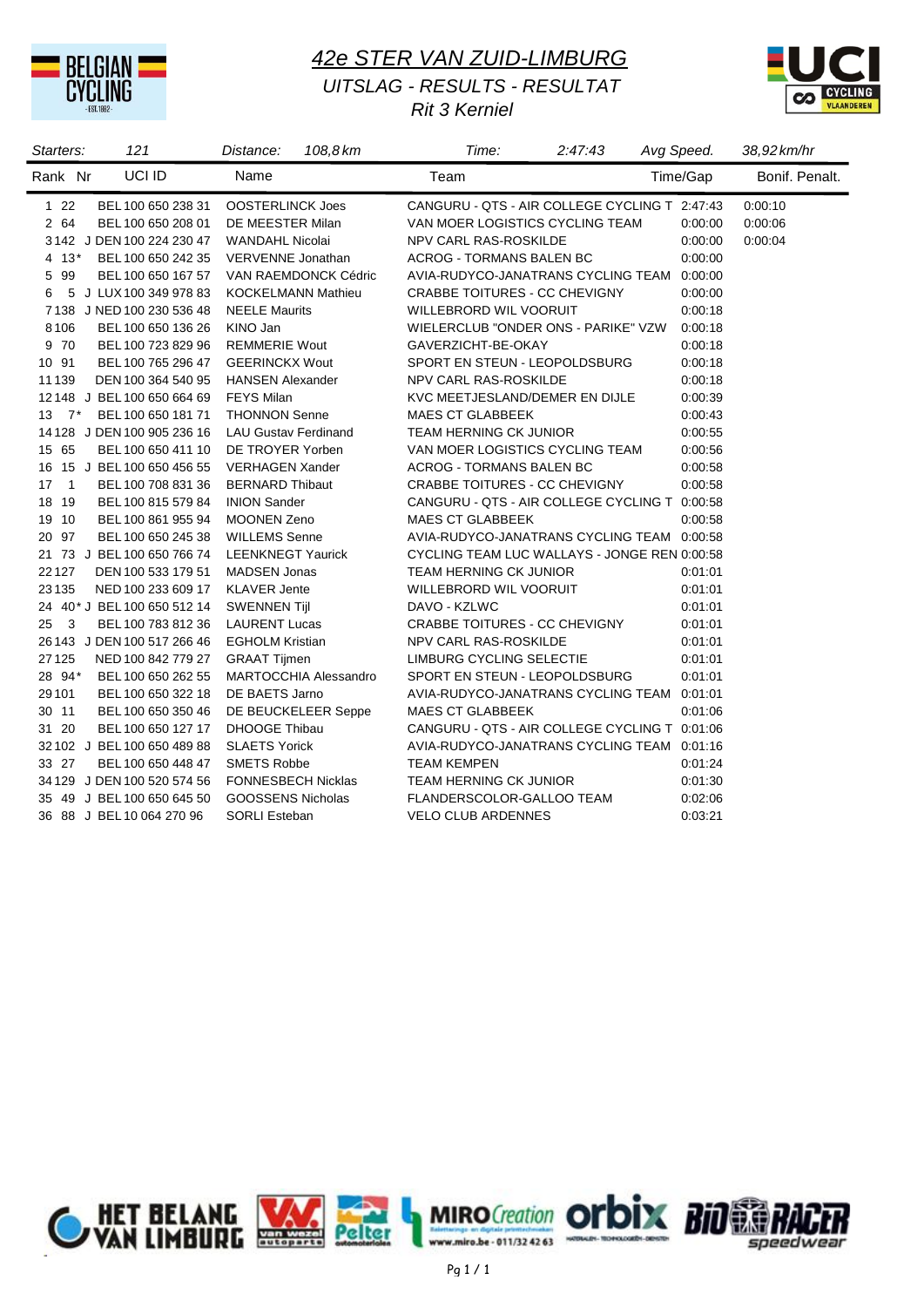

### *42e STER VAN ZUID-LIMBURG Rit 3 Kerniel UITSLAG - RESULTS - RESULTAT*



| UCI ID<br>Time/Gap<br>Rank Nr<br>Bonif. Penalt.<br>Name<br>Team<br>CANGURU - QTS - AIR COLLEGE CYCLING T 2:47:43<br>$122$<br>BEL 100 650 238 31<br><b>OOSTERLINCK Joes</b><br>0:00:10<br>2 64<br>VAN MOER LOGISTICS CYCLING TEAM<br>BEL 100 650 208 01<br>DE MEESTER Milan<br>0:00:00<br>0.00:06<br>NPV CARL RAS-ROSKILDE<br>3142 J DEN 100 224 230 47<br><b>WANDAHL Nicolai</b><br>0:00:00<br>0:00:04<br>$4 \t13*$<br>BEL 100 650 242 35<br>VERVENNE Jonathan<br><b>ACROG - TORMANS BALEN BC</b><br>0:00:00<br>5<br>99<br>BEL 100 650 167 57<br>VAN RAEMDONCK Cédric<br>AVIA-RUDYCO-JANATRANS CYCLING TEAM<br>0:00:00<br>6<br>5 J LUX 100 349 978 83<br><b>KOCKELMANN Mathieu</b><br>CRABBE TOITURES - CC CHEVIGNY<br>0:00:00<br>7138 J NED 100 230 536 48<br><b>NEELE Maurits</b><br>WILLEBRORD WIL VOORUIT<br>0:00:18<br>KINO Jan<br>8106<br>BEL 100 650 136 26<br>WIELERCLUB "ONDER ONS - PARIKE" VZW<br>0:00:18<br>9 70<br><b>REMMERIE Wout</b><br>BEL 100 723 829 96<br>GAVERZICHT-BE-OKAY<br>0:00:18<br>10 91<br>BEL 100 765 296 47<br><b>GEERINCKX Wout</b><br>SPORT EN STEUN - LEOPOLDSBURG<br>0:00:18<br>11 1 39<br>DEN 100 364 540 95<br><b>HANSEN Alexander</b><br>NPV CARL RAS-ROSKILDE<br>0:00:18<br>12 148 J BEL 100 650 664 69<br><b>FEYS Milan</b><br>KVC MEETJESLAND/DEMER EN DIJLE<br>0:00:39<br><b>THONNON Senne</b><br>13<br>$7^*$<br>BEL 100 650 181 71<br><b>MAES CT GLABBEEK</b><br>0:00:43<br><b>LAU Gustav Ferdinand</b><br><b>TEAM HERNING CK JUNIOR</b><br>14 128 J DEN 100 905 236 16<br>0:00:55<br>15 65<br>BEL 100 650 411 10<br>DE TROYER Yorben<br>VAN MOER LOGISTICS CYCLING TEAM<br>0:00:56<br>16 15 J BEL 100 650 456 55<br><b>VERHAGEN Xander</b><br><b>ACROG - TORMANS BALEN BC</b><br>0:00:58<br>17<br>$\overline{1}$<br>BEL 100 708 831 36<br><b>BERNARD Thibaut</b><br><b>CRABBE TOITURES - CC CHEVIGNY</b><br>0:00:58<br>18 19<br><b>INION Sander</b><br>BEL 100 815 579 84<br>CANGURU - QTS - AIR COLLEGE CYCLING T 0:00:58<br>19 10<br><b>MOONEN Zeno</b><br><b>MAES CT GLABBEEK</b><br>BEL 100 861 955 94<br>0.00.58<br>20 97<br><b>WILLEMS Senne</b><br>AVIA-RUDYCO-JANATRANS CYCLING TEAM 0:00:58<br>BEL 100 650 245 38<br>21 73 J BEL 100 650 766 74<br><b>LEENKNEGT Yaurick</b><br>CYCLING TEAM LUC WALLAYS - JONGE REN 0:00:58<br>22 1 27<br>DEN 100 533 179 51<br><b>MADSEN Jonas</b><br>TEAM HERNING CK JUNIOR<br>0.01.01<br>23 1 35<br>NED 100 233 609 17<br><b>KLAVER Jente</b><br>WILLEBRORD WIL VOORUIT<br>0:01:01<br>DAVO - KZLWC<br>24 40* J BEL 100 650 512 14<br><b>SWENNEN Tijl</b><br>0:01:01<br>$25 \quad 3$<br>BEL 100 783 812 36<br><b>LAURENT Lucas</b><br>CRABBE TOITURES - CC CHEVIGNY<br>0.01:01<br>26 143 J DEN 100 517 266 46<br><b>EGHOLM Kristian</b><br>NPV CARL RAS-ROSKILDE<br>0:01:01<br>27 1 25<br>LIMBURG CYCLING SELECTIE<br>NED 100 842 779 27<br><b>GRAAT Tijmen</b><br>0:01:01<br>28 94*<br>BEL 100 650 262 55<br>MARTOCCHIA Alessandro<br>SPORT EN STEUN - LEOPOLDSBURG<br>0.01:01<br>29 101<br>DE BAETS Jarno<br>AVIA-RUDYCO-JANATRANS CYCLING TEAM<br>BEL 100 650 322 18<br>0:01:01<br>30 11<br>DE BEUCKELEER Seppe<br>BEL 100 650 350 46<br>MAES CT GLABBEEK<br>0.01:06<br>31 20<br>BEL 100 650 127 17<br>DHOOGE Thibau<br>CANGURU - QTS - AIR COLLEGE CYCLING T 0:01:06<br>32 102 J BEL 100 650 489 88<br><b>SLAETS Yorick</b><br>AVIA-RUDYCO-JANATRANS CYCLING TEAM 0:01:16<br>33 27<br>BEL 100 650 448 47<br><b>SMETS Robbe</b><br><b>TEAM KEMPEN</b><br>0:01:24<br>34 129 J DEN 100 520 574 56<br><b>FONNESBECH Nicklas</b><br>TEAM HERNING CK JUNIOR<br>0.01:30<br>GOOSSENS Nicholas<br>35 49 J BEL 100 650 645 50<br>FLANDERSCOLOR-GALLOO TEAM<br>0:02:06<br>36 88 J BEL 10 064 270 96<br><b>SORLI Esteban</b><br><b>VELO CLUB ARDENNES</b><br>0:03:21 | Starters: | 121 | Distance: | 108,8 km | Time: | 2:47:43 | Avg Speed. | 38,92 km/hr |
|-----------------------------------------------------------------------------------------------------------------------------------------------------------------------------------------------------------------------------------------------------------------------------------------------------------------------------------------------------------------------------------------------------------------------------------------------------------------------------------------------------------------------------------------------------------------------------------------------------------------------------------------------------------------------------------------------------------------------------------------------------------------------------------------------------------------------------------------------------------------------------------------------------------------------------------------------------------------------------------------------------------------------------------------------------------------------------------------------------------------------------------------------------------------------------------------------------------------------------------------------------------------------------------------------------------------------------------------------------------------------------------------------------------------------------------------------------------------------------------------------------------------------------------------------------------------------------------------------------------------------------------------------------------------------------------------------------------------------------------------------------------------------------------------------------------------------------------------------------------------------------------------------------------------------------------------------------------------------------------------------------------------------------------------------------------------------------------------------------------------------------------------------------------------------------------------------------------------------------------------------------------------------------------------------------------------------------------------------------------------------------------------------------------------------------------------------------------------------------------------------------------------------------------------------------------------------------------------------------------------------------------------------------------------------------------------------------------------------------------------------------------------------------------------------------------------------------------------------------------------------------------------------------------------------------------------------------------------------------------------------------------------------------------------------------------------------------------------------------------------------------------------------------------------------------------------------------------------------------------------------------------------------------------------------------------------------------------------------------------------------------------------------------------------------------------------------------------------------------------------------------------------------------------------------------------------------------------------------------------------------------------------------------------------------------------------------------------------------------------------------------|-----------|-----|-----------|----------|-------|---------|------------|-------------|
|                                                                                                                                                                                                                                                                                                                                                                                                                                                                                                                                                                                                                                                                                                                                                                                                                                                                                                                                                                                                                                                                                                                                                                                                                                                                                                                                                                                                                                                                                                                                                                                                                                                                                                                                                                                                                                                                                                                                                                                                                                                                                                                                                                                                                                                                                                                                                                                                                                                                                                                                                                                                                                                                                                                                                                                                                                                                                                                                                                                                                                                                                                                                                                                                                                                                                                                                                                                                                                                                                                                                                                                                                                                                                                                                                     |           |     |           |          |       |         |            |             |
|                                                                                                                                                                                                                                                                                                                                                                                                                                                                                                                                                                                                                                                                                                                                                                                                                                                                                                                                                                                                                                                                                                                                                                                                                                                                                                                                                                                                                                                                                                                                                                                                                                                                                                                                                                                                                                                                                                                                                                                                                                                                                                                                                                                                                                                                                                                                                                                                                                                                                                                                                                                                                                                                                                                                                                                                                                                                                                                                                                                                                                                                                                                                                                                                                                                                                                                                                                                                                                                                                                                                                                                                                                                                                                                                                     |           |     |           |          |       |         |            |             |
|                                                                                                                                                                                                                                                                                                                                                                                                                                                                                                                                                                                                                                                                                                                                                                                                                                                                                                                                                                                                                                                                                                                                                                                                                                                                                                                                                                                                                                                                                                                                                                                                                                                                                                                                                                                                                                                                                                                                                                                                                                                                                                                                                                                                                                                                                                                                                                                                                                                                                                                                                                                                                                                                                                                                                                                                                                                                                                                                                                                                                                                                                                                                                                                                                                                                                                                                                                                                                                                                                                                                                                                                                                                                                                                                                     |           |     |           |          |       |         |            |             |
|                                                                                                                                                                                                                                                                                                                                                                                                                                                                                                                                                                                                                                                                                                                                                                                                                                                                                                                                                                                                                                                                                                                                                                                                                                                                                                                                                                                                                                                                                                                                                                                                                                                                                                                                                                                                                                                                                                                                                                                                                                                                                                                                                                                                                                                                                                                                                                                                                                                                                                                                                                                                                                                                                                                                                                                                                                                                                                                                                                                                                                                                                                                                                                                                                                                                                                                                                                                                                                                                                                                                                                                                                                                                                                                                                     |           |     |           |          |       |         |            |             |
|                                                                                                                                                                                                                                                                                                                                                                                                                                                                                                                                                                                                                                                                                                                                                                                                                                                                                                                                                                                                                                                                                                                                                                                                                                                                                                                                                                                                                                                                                                                                                                                                                                                                                                                                                                                                                                                                                                                                                                                                                                                                                                                                                                                                                                                                                                                                                                                                                                                                                                                                                                                                                                                                                                                                                                                                                                                                                                                                                                                                                                                                                                                                                                                                                                                                                                                                                                                                                                                                                                                                                                                                                                                                                                                                                     |           |     |           |          |       |         |            |             |
|                                                                                                                                                                                                                                                                                                                                                                                                                                                                                                                                                                                                                                                                                                                                                                                                                                                                                                                                                                                                                                                                                                                                                                                                                                                                                                                                                                                                                                                                                                                                                                                                                                                                                                                                                                                                                                                                                                                                                                                                                                                                                                                                                                                                                                                                                                                                                                                                                                                                                                                                                                                                                                                                                                                                                                                                                                                                                                                                                                                                                                                                                                                                                                                                                                                                                                                                                                                                                                                                                                                                                                                                                                                                                                                                                     |           |     |           |          |       |         |            |             |
|                                                                                                                                                                                                                                                                                                                                                                                                                                                                                                                                                                                                                                                                                                                                                                                                                                                                                                                                                                                                                                                                                                                                                                                                                                                                                                                                                                                                                                                                                                                                                                                                                                                                                                                                                                                                                                                                                                                                                                                                                                                                                                                                                                                                                                                                                                                                                                                                                                                                                                                                                                                                                                                                                                                                                                                                                                                                                                                                                                                                                                                                                                                                                                                                                                                                                                                                                                                                                                                                                                                                                                                                                                                                                                                                                     |           |     |           |          |       |         |            |             |
|                                                                                                                                                                                                                                                                                                                                                                                                                                                                                                                                                                                                                                                                                                                                                                                                                                                                                                                                                                                                                                                                                                                                                                                                                                                                                                                                                                                                                                                                                                                                                                                                                                                                                                                                                                                                                                                                                                                                                                                                                                                                                                                                                                                                                                                                                                                                                                                                                                                                                                                                                                                                                                                                                                                                                                                                                                                                                                                                                                                                                                                                                                                                                                                                                                                                                                                                                                                                                                                                                                                                                                                                                                                                                                                                                     |           |     |           |          |       |         |            |             |
|                                                                                                                                                                                                                                                                                                                                                                                                                                                                                                                                                                                                                                                                                                                                                                                                                                                                                                                                                                                                                                                                                                                                                                                                                                                                                                                                                                                                                                                                                                                                                                                                                                                                                                                                                                                                                                                                                                                                                                                                                                                                                                                                                                                                                                                                                                                                                                                                                                                                                                                                                                                                                                                                                                                                                                                                                                                                                                                                                                                                                                                                                                                                                                                                                                                                                                                                                                                                                                                                                                                                                                                                                                                                                                                                                     |           |     |           |          |       |         |            |             |
|                                                                                                                                                                                                                                                                                                                                                                                                                                                                                                                                                                                                                                                                                                                                                                                                                                                                                                                                                                                                                                                                                                                                                                                                                                                                                                                                                                                                                                                                                                                                                                                                                                                                                                                                                                                                                                                                                                                                                                                                                                                                                                                                                                                                                                                                                                                                                                                                                                                                                                                                                                                                                                                                                                                                                                                                                                                                                                                                                                                                                                                                                                                                                                                                                                                                                                                                                                                                                                                                                                                                                                                                                                                                                                                                                     |           |     |           |          |       |         |            |             |
|                                                                                                                                                                                                                                                                                                                                                                                                                                                                                                                                                                                                                                                                                                                                                                                                                                                                                                                                                                                                                                                                                                                                                                                                                                                                                                                                                                                                                                                                                                                                                                                                                                                                                                                                                                                                                                                                                                                                                                                                                                                                                                                                                                                                                                                                                                                                                                                                                                                                                                                                                                                                                                                                                                                                                                                                                                                                                                                                                                                                                                                                                                                                                                                                                                                                                                                                                                                                                                                                                                                                                                                                                                                                                                                                                     |           |     |           |          |       |         |            |             |
|                                                                                                                                                                                                                                                                                                                                                                                                                                                                                                                                                                                                                                                                                                                                                                                                                                                                                                                                                                                                                                                                                                                                                                                                                                                                                                                                                                                                                                                                                                                                                                                                                                                                                                                                                                                                                                                                                                                                                                                                                                                                                                                                                                                                                                                                                                                                                                                                                                                                                                                                                                                                                                                                                                                                                                                                                                                                                                                                                                                                                                                                                                                                                                                                                                                                                                                                                                                                                                                                                                                                                                                                                                                                                                                                                     |           |     |           |          |       |         |            |             |
|                                                                                                                                                                                                                                                                                                                                                                                                                                                                                                                                                                                                                                                                                                                                                                                                                                                                                                                                                                                                                                                                                                                                                                                                                                                                                                                                                                                                                                                                                                                                                                                                                                                                                                                                                                                                                                                                                                                                                                                                                                                                                                                                                                                                                                                                                                                                                                                                                                                                                                                                                                                                                                                                                                                                                                                                                                                                                                                                                                                                                                                                                                                                                                                                                                                                                                                                                                                                                                                                                                                                                                                                                                                                                                                                                     |           |     |           |          |       |         |            |             |
|                                                                                                                                                                                                                                                                                                                                                                                                                                                                                                                                                                                                                                                                                                                                                                                                                                                                                                                                                                                                                                                                                                                                                                                                                                                                                                                                                                                                                                                                                                                                                                                                                                                                                                                                                                                                                                                                                                                                                                                                                                                                                                                                                                                                                                                                                                                                                                                                                                                                                                                                                                                                                                                                                                                                                                                                                                                                                                                                                                                                                                                                                                                                                                                                                                                                                                                                                                                                                                                                                                                                                                                                                                                                                                                                                     |           |     |           |          |       |         |            |             |
|                                                                                                                                                                                                                                                                                                                                                                                                                                                                                                                                                                                                                                                                                                                                                                                                                                                                                                                                                                                                                                                                                                                                                                                                                                                                                                                                                                                                                                                                                                                                                                                                                                                                                                                                                                                                                                                                                                                                                                                                                                                                                                                                                                                                                                                                                                                                                                                                                                                                                                                                                                                                                                                                                                                                                                                                                                                                                                                                                                                                                                                                                                                                                                                                                                                                                                                                                                                                                                                                                                                                                                                                                                                                                                                                                     |           |     |           |          |       |         |            |             |
|                                                                                                                                                                                                                                                                                                                                                                                                                                                                                                                                                                                                                                                                                                                                                                                                                                                                                                                                                                                                                                                                                                                                                                                                                                                                                                                                                                                                                                                                                                                                                                                                                                                                                                                                                                                                                                                                                                                                                                                                                                                                                                                                                                                                                                                                                                                                                                                                                                                                                                                                                                                                                                                                                                                                                                                                                                                                                                                                                                                                                                                                                                                                                                                                                                                                                                                                                                                                                                                                                                                                                                                                                                                                                                                                                     |           |     |           |          |       |         |            |             |
|                                                                                                                                                                                                                                                                                                                                                                                                                                                                                                                                                                                                                                                                                                                                                                                                                                                                                                                                                                                                                                                                                                                                                                                                                                                                                                                                                                                                                                                                                                                                                                                                                                                                                                                                                                                                                                                                                                                                                                                                                                                                                                                                                                                                                                                                                                                                                                                                                                                                                                                                                                                                                                                                                                                                                                                                                                                                                                                                                                                                                                                                                                                                                                                                                                                                                                                                                                                                                                                                                                                                                                                                                                                                                                                                                     |           |     |           |          |       |         |            |             |
|                                                                                                                                                                                                                                                                                                                                                                                                                                                                                                                                                                                                                                                                                                                                                                                                                                                                                                                                                                                                                                                                                                                                                                                                                                                                                                                                                                                                                                                                                                                                                                                                                                                                                                                                                                                                                                                                                                                                                                                                                                                                                                                                                                                                                                                                                                                                                                                                                                                                                                                                                                                                                                                                                                                                                                                                                                                                                                                                                                                                                                                                                                                                                                                                                                                                                                                                                                                                                                                                                                                                                                                                                                                                                                                                                     |           |     |           |          |       |         |            |             |
|                                                                                                                                                                                                                                                                                                                                                                                                                                                                                                                                                                                                                                                                                                                                                                                                                                                                                                                                                                                                                                                                                                                                                                                                                                                                                                                                                                                                                                                                                                                                                                                                                                                                                                                                                                                                                                                                                                                                                                                                                                                                                                                                                                                                                                                                                                                                                                                                                                                                                                                                                                                                                                                                                                                                                                                                                                                                                                                                                                                                                                                                                                                                                                                                                                                                                                                                                                                                                                                                                                                                                                                                                                                                                                                                                     |           |     |           |          |       |         |            |             |
|                                                                                                                                                                                                                                                                                                                                                                                                                                                                                                                                                                                                                                                                                                                                                                                                                                                                                                                                                                                                                                                                                                                                                                                                                                                                                                                                                                                                                                                                                                                                                                                                                                                                                                                                                                                                                                                                                                                                                                                                                                                                                                                                                                                                                                                                                                                                                                                                                                                                                                                                                                                                                                                                                                                                                                                                                                                                                                                                                                                                                                                                                                                                                                                                                                                                                                                                                                                                                                                                                                                                                                                                                                                                                                                                                     |           |     |           |          |       |         |            |             |
|                                                                                                                                                                                                                                                                                                                                                                                                                                                                                                                                                                                                                                                                                                                                                                                                                                                                                                                                                                                                                                                                                                                                                                                                                                                                                                                                                                                                                                                                                                                                                                                                                                                                                                                                                                                                                                                                                                                                                                                                                                                                                                                                                                                                                                                                                                                                                                                                                                                                                                                                                                                                                                                                                                                                                                                                                                                                                                                                                                                                                                                                                                                                                                                                                                                                                                                                                                                                                                                                                                                                                                                                                                                                                                                                                     |           |     |           |          |       |         |            |             |
|                                                                                                                                                                                                                                                                                                                                                                                                                                                                                                                                                                                                                                                                                                                                                                                                                                                                                                                                                                                                                                                                                                                                                                                                                                                                                                                                                                                                                                                                                                                                                                                                                                                                                                                                                                                                                                                                                                                                                                                                                                                                                                                                                                                                                                                                                                                                                                                                                                                                                                                                                                                                                                                                                                                                                                                                                                                                                                                                                                                                                                                                                                                                                                                                                                                                                                                                                                                                                                                                                                                                                                                                                                                                                                                                                     |           |     |           |          |       |         |            |             |
|                                                                                                                                                                                                                                                                                                                                                                                                                                                                                                                                                                                                                                                                                                                                                                                                                                                                                                                                                                                                                                                                                                                                                                                                                                                                                                                                                                                                                                                                                                                                                                                                                                                                                                                                                                                                                                                                                                                                                                                                                                                                                                                                                                                                                                                                                                                                                                                                                                                                                                                                                                                                                                                                                                                                                                                                                                                                                                                                                                                                                                                                                                                                                                                                                                                                                                                                                                                                                                                                                                                                                                                                                                                                                                                                                     |           |     |           |          |       |         |            |             |
|                                                                                                                                                                                                                                                                                                                                                                                                                                                                                                                                                                                                                                                                                                                                                                                                                                                                                                                                                                                                                                                                                                                                                                                                                                                                                                                                                                                                                                                                                                                                                                                                                                                                                                                                                                                                                                                                                                                                                                                                                                                                                                                                                                                                                                                                                                                                                                                                                                                                                                                                                                                                                                                                                                                                                                                                                                                                                                                                                                                                                                                                                                                                                                                                                                                                                                                                                                                                                                                                                                                                                                                                                                                                                                                                                     |           |     |           |          |       |         |            |             |
|                                                                                                                                                                                                                                                                                                                                                                                                                                                                                                                                                                                                                                                                                                                                                                                                                                                                                                                                                                                                                                                                                                                                                                                                                                                                                                                                                                                                                                                                                                                                                                                                                                                                                                                                                                                                                                                                                                                                                                                                                                                                                                                                                                                                                                                                                                                                                                                                                                                                                                                                                                                                                                                                                                                                                                                                                                                                                                                                                                                                                                                                                                                                                                                                                                                                                                                                                                                                                                                                                                                                                                                                                                                                                                                                                     |           |     |           |          |       |         |            |             |
|                                                                                                                                                                                                                                                                                                                                                                                                                                                                                                                                                                                                                                                                                                                                                                                                                                                                                                                                                                                                                                                                                                                                                                                                                                                                                                                                                                                                                                                                                                                                                                                                                                                                                                                                                                                                                                                                                                                                                                                                                                                                                                                                                                                                                                                                                                                                                                                                                                                                                                                                                                                                                                                                                                                                                                                                                                                                                                                                                                                                                                                                                                                                                                                                                                                                                                                                                                                                                                                                                                                                                                                                                                                                                                                                                     |           |     |           |          |       |         |            |             |
|                                                                                                                                                                                                                                                                                                                                                                                                                                                                                                                                                                                                                                                                                                                                                                                                                                                                                                                                                                                                                                                                                                                                                                                                                                                                                                                                                                                                                                                                                                                                                                                                                                                                                                                                                                                                                                                                                                                                                                                                                                                                                                                                                                                                                                                                                                                                                                                                                                                                                                                                                                                                                                                                                                                                                                                                                                                                                                                                                                                                                                                                                                                                                                                                                                                                                                                                                                                                                                                                                                                                                                                                                                                                                                                                                     |           |     |           |          |       |         |            |             |
|                                                                                                                                                                                                                                                                                                                                                                                                                                                                                                                                                                                                                                                                                                                                                                                                                                                                                                                                                                                                                                                                                                                                                                                                                                                                                                                                                                                                                                                                                                                                                                                                                                                                                                                                                                                                                                                                                                                                                                                                                                                                                                                                                                                                                                                                                                                                                                                                                                                                                                                                                                                                                                                                                                                                                                                                                                                                                                                                                                                                                                                                                                                                                                                                                                                                                                                                                                                                                                                                                                                                                                                                                                                                                                                                                     |           |     |           |          |       |         |            |             |
|                                                                                                                                                                                                                                                                                                                                                                                                                                                                                                                                                                                                                                                                                                                                                                                                                                                                                                                                                                                                                                                                                                                                                                                                                                                                                                                                                                                                                                                                                                                                                                                                                                                                                                                                                                                                                                                                                                                                                                                                                                                                                                                                                                                                                                                                                                                                                                                                                                                                                                                                                                                                                                                                                                                                                                                                                                                                                                                                                                                                                                                                                                                                                                                                                                                                                                                                                                                                                                                                                                                                                                                                                                                                                                                                                     |           |     |           |          |       |         |            |             |
|                                                                                                                                                                                                                                                                                                                                                                                                                                                                                                                                                                                                                                                                                                                                                                                                                                                                                                                                                                                                                                                                                                                                                                                                                                                                                                                                                                                                                                                                                                                                                                                                                                                                                                                                                                                                                                                                                                                                                                                                                                                                                                                                                                                                                                                                                                                                                                                                                                                                                                                                                                                                                                                                                                                                                                                                                                                                                                                                                                                                                                                                                                                                                                                                                                                                                                                                                                                                                                                                                                                                                                                                                                                                                                                                                     |           |     |           |          |       |         |            |             |
|                                                                                                                                                                                                                                                                                                                                                                                                                                                                                                                                                                                                                                                                                                                                                                                                                                                                                                                                                                                                                                                                                                                                                                                                                                                                                                                                                                                                                                                                                                                                                                                                                                                                                                                                                                                                                                                                                                                                                                                                                                                                                                                                                                                                                                                                                                                                                                                                                                                                                                                                                                                                                                                                                                                                                                                                                                                                                                                                                                                                                                                                                                                                                                                                                                                                                                                                                                                                                                                                                                                                                                                                                                                                                                                                                     |           |     |           |          |       |         |            |             |
|                                                                                                                                                                                                                                                                                                                                                                                                                                                                                                                                                                                                                                                                                                                                                                                                                                                                                                                                                                                                                                                                                                                                                                                                                                                                                                                                                                                                                                                                                                                                                                                                                                                                                                                                                                                                                                                                                                                                                                                                                                                                                                                                                                                                                                                                                                                                                                                                                                                                                                                                                                                                                                                                                                                                                                                                                                                                                                                                                                                                                                                                                                                                                                                                                                                                                                                                                                                                                                                                                                                                                                                                                                                                                                                                                     |           |     |           |          |       |         |            |             |
|                                                                                                                                                                                                                                                                                                                                                                                                                                                                                                                                                                                                                                                                                                                                                                                                                                                                                                                                                                                                                                                                                                                                                                                                                                                                                                                                                                                                                                                                                                                                                                                                                                                                                                                                                                                                                                                                                                                                                                                                                                                                                                                                                                                                                                                                                                                                                                                                                                                                                                                                                                                                                                                                                                                                                                                                                                                                                                                                                                                                                                                                                                                                                                                                                                                                                                                                                                                                                                                                                                                                                                                                                                                                                                                                                     |           |     |           |          |       |         |            |             |
|                                                                                                                                                                                                                                                                                                                                                                                                                                                                                                                                                                                                                                                                                                                                                                                                                                                                                                                                                                                                                                                                                                                                                                                                                                                                                                                                                                                                                                                                                                                                                                                                                                                                                                                                                                                                                                                                                                                                                                                                                                                                                                                                                                                                                                                                                                                                                                                                                                                                                                                                                                                                                                                                                                                                                                                                                                                                                                                                                                                                                                                                                                                                                                                                                                                                                                                                                                                                                                                                                                                                                                                                                                                                                                                                                     |           |     |           |          |       |         |            |             |
|                                                                                                                                                                                                                                                                                                                                                                                                                                                                                                                                                                                                                                                                                                                                                                                                                                                                                                                                                                                                                                                                                                                                                                                                                                                                                                                                                                                                                                                                                                                                                                                                                                                                                                                                                                                                                                                                                                                                                                                                                                                                                                                                                                                                                                                                                                                                                                                                                                                                                                                                                                                                                                                                                                                                                                                                                                                                                                                                                                                                                                                                                                                                                                                                                                                                                                                                                                                                                                                                                                                                                                                                                                                                                                                                                     |           |     |           |          |       |         |            |             |
|                                                                                                                                                                                                                                                                                                                                                                                                                                                                                                                                                                                                                                                                                                                                                                                                                                                                                                                                                                                                                                                                                                                                                                                                                                                                                                                                                                                                                                                                                                                                                                                                                                                                                                                                                                                                                                                                                                                                                                                                                                                                                                                                                                                                                                                                                                                                                                                                                                                                                                                                                                                                                                                                                                                                                                                                                                                                                                                                                                                                                                                                                                                                                                                                                                                                                                                                                                                                                                                                                                                                                                                                                                                                                                                                                     |           |     |           |          |       |         |            |             |
|                                                                                                                                                                                                                                                                                                                                                                                                                                                                                                                                                                                                                                                                                                                                                                                                                                                                                                                                                                                                                                                                                                                                                                                                                                                                                                                                                                                                                                                                                                                                                                                                                                                                                                                                                                                                                                                                                                                                                                                                                                                                                                                                                                                                                                                                                                                                                                                                                                                                                                                                                                                                                                                                                                                                                                                                                                                                                                                                                                                                                                                                                                                                                                                                                                                                                                                                                                                                                                                                                                                                                                                                                                                                                                                                                     |           |     |           |          |       |         |            |             |

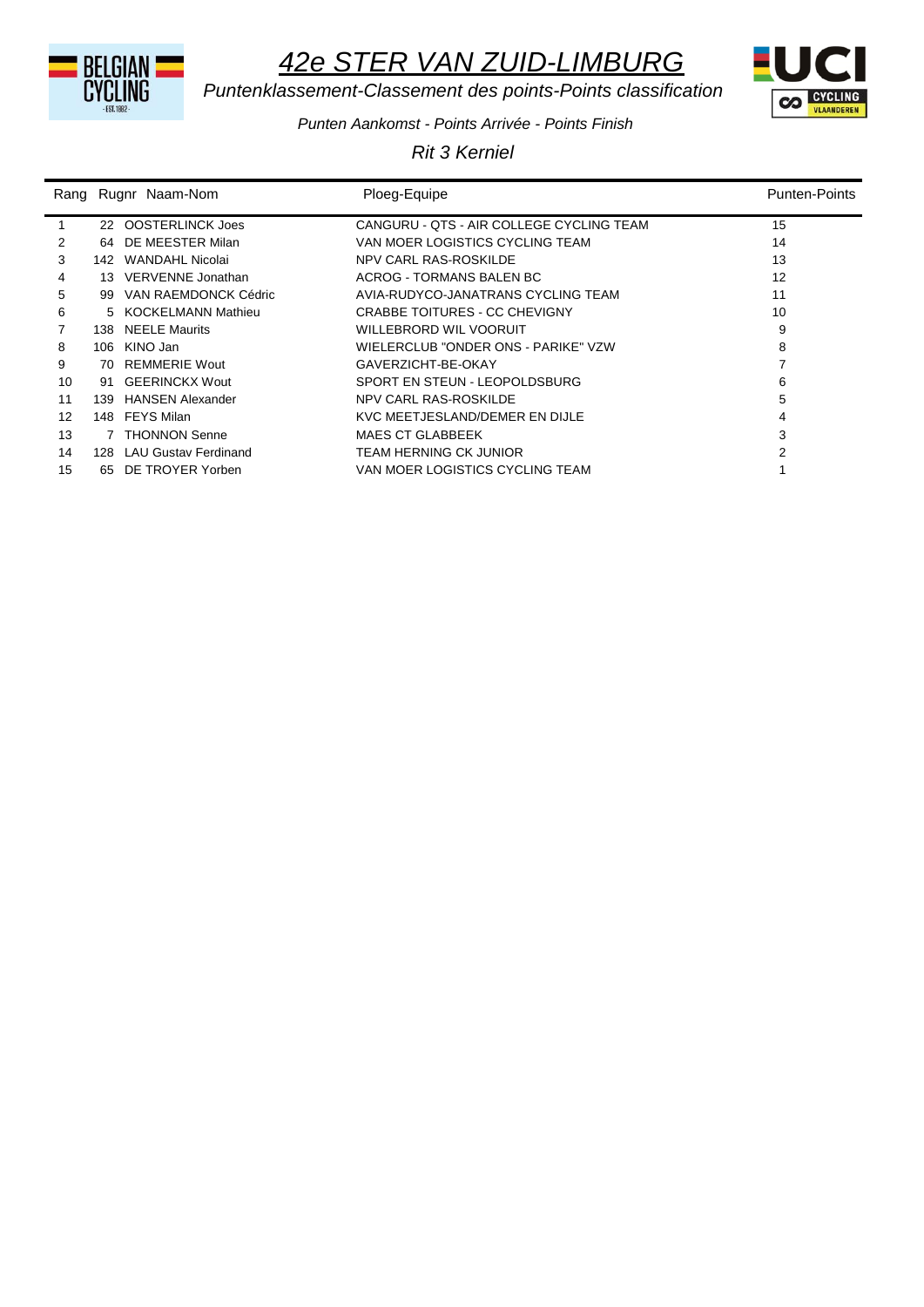

*Puntenklassement-Classement des points-Points classification*



*Punten Aankomst - Points Arrivée - Points Finish*

*Rit 3 Kerniel* 

| Rang |      | Rugnr Naam-Nom           | Ploeg-Equipe                             | <b>Punten-Points</b> |
|------|------|--------------------------|------------------------------------------|----------------------|
|      |      | 22 OOSTERLINCK Joes      | CANGURU - OTS - AIR COLLEGE CYCLING TEAM | 15                   |
| 2    |      | 64 DE MEESTER Milan      | VAN MOER LOGISTICS CYCLING TEAM          | 14                   |
| 3    |      | 142 WANDAHL Nicolai      | NPV CARL RAS-ROSKILDE                    | 13                   |
| 4    |      | 13 VERVENNE Jonathan     | ACROG - TORMANS BALEN BC                 | 12                   |
| 5    | 99.  | VAN RAEMDONCK Cédric     | AVIA-RUDYCO-JANATRANS CYCLING TEAM       | 11                   |
| 6    |      | 5 KOCKELMANN Mathieu     | <b>CRABBE TOITURES - CC CHEVIGNY</b>     | 10                   |
|      |      | 138 NEELE Maurits        | WILLEBRORD WIL VOORUIT                   | 9                    |
| 8    |      | 106 KINO Jan             | WIELERCLUB "ONDER ONS - PARIKE" VZW      | 8                    |
| 9    | 70.  | <b>REMMERIE Wout</b>     | GAVERZICHT-BE-OKAY                       |                      |
| 10   | 91   | <b>GEERINCKX Wout</b>    | SPORT EN STEUN - LEOPOLDSBURG            | 6                    |
| 11   | 139. | <b>HANSEN Alexander</b>  | NPV CARL RAS-ROSKILDE                    | 5                    |
| 12   |      | 148 FEYS Milan           | KVC MEETJESLAND/DEMER EN DIJLE           | 4                    |
| 13   |      | 7 THONNON Senne          | <b>MAES CT GLABBEEK</b>                  | 3                    |
| 14   |      | 128 LAU Gustav Ferdinand | TEAM HERNING CK JUNIOR                   | 2                    |
| 15   | 65.  | DE TROYER Yorben         | VAN MOER LOGISTICS CYCLING TEAM          |                      |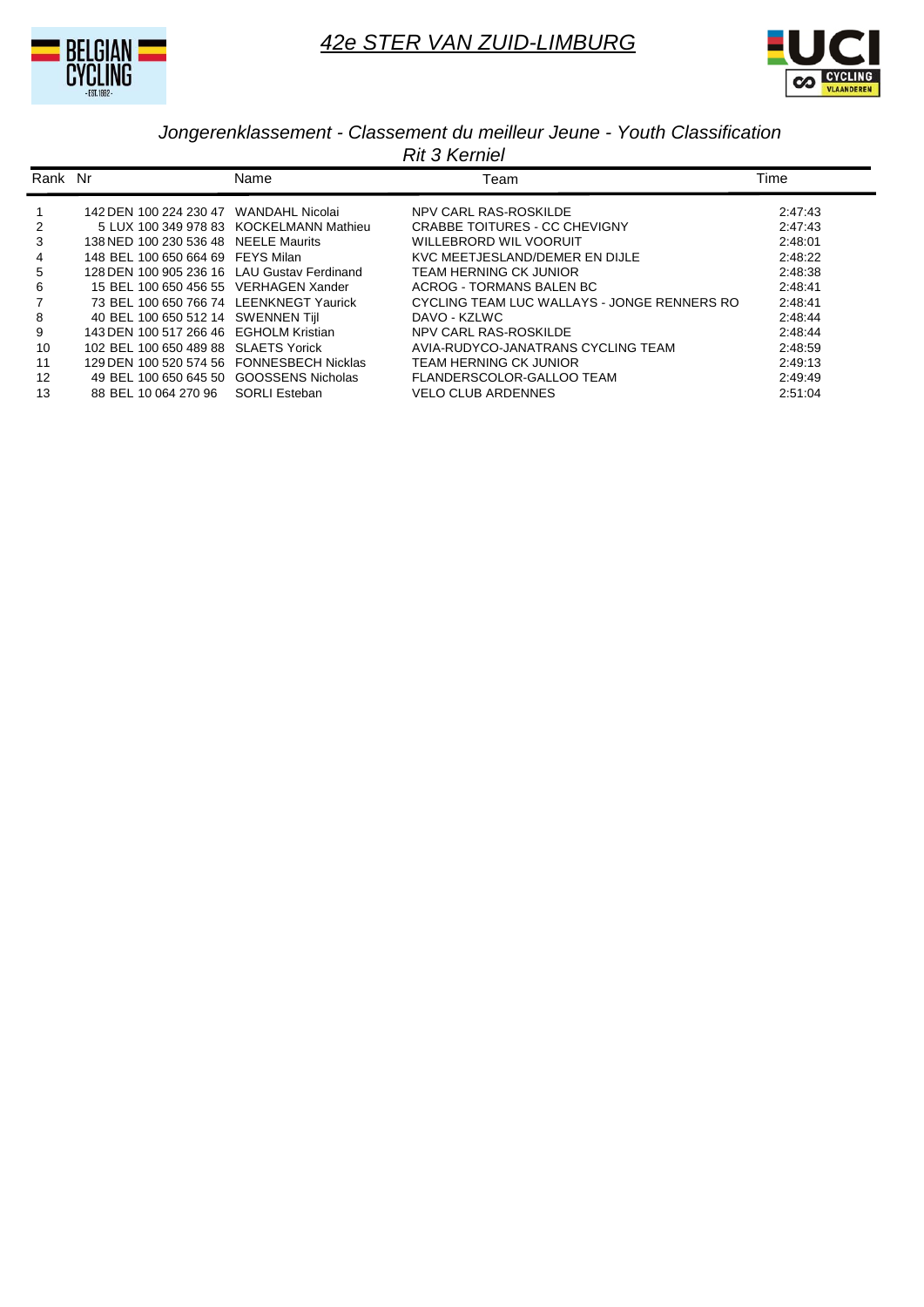



#### *Rit 3 Kerniel Jongerenklassement - Classement du meilleur Jeune - Youth Classification*

| Rank Nr |                                             | Name                                    | Team                                        | Time    |
|---------|---------------------------------------------|-----------------------------------------|---------------------------------------------|---------|
|         | 142 DEN 100 224 230 47 WANDAHL Nicolai      |                                         | NPV CARL RAS-ROSKILDE                       | 2:47:43 |
| 2       |                                             | 5 LUX 100 349 978 83 KOCKELMANN Mathieu | CRABBE TOITURES - CC CHEVIGNY               | 2:47:43 |
| 3       | 138 NED 100 230 536 48 NEELE Maurits        |                                         | WILLEBRORD WIL VOORUIT                      | 2:48:01 |
| 4       | 148 BEL 100 650 664 69 FEYS Milan           |                                         | KVC MEETJESLAND/DEMER EN DIJLE              | 2:48:22 |
| 5       | 128 DEN 100 905 236 16 LAU Gustav Ferdinand |                                         | <b>TEAM HERNING CK JUNIOR</b>               | 2:48:38 |
| 6       | 15 BEL 100 650 456 55 VERHAGEN Xander       |                                         | ACROG - TORMANS BALEN BC                    | 2:48:41 |
|         | 73 BEL 100 650 766 74 LEENKNEGT Yaurick     |                                         | CYCLING TEAM LUC WALLAYS - JONGE RENNERS RO | 2:48:41 |
| 8       | 40 BEL 100 650 512 14 SWENNEN Tijl          |                                         | DAVO - KZLWC                                | 2:48:44 |
| 9       | 143 DEN 100 517 266 46 EGHOLM Kristian      |                                         | NPV CARL RAS-ROSKILDE                       | 2:48:44 |
| 10      | 102 BEL 100 650 489 88 SLAETS Yorick        |                                         | AVIA-RUDYCO-JANATRANS CYCLING TEAM          | 2:48:59 |
| 11      | 129 DEN 100 520 574 56 FONNESBECH Nicklas   |                                         | TEAM HERNING CK JUNIOR                      | 2:49:13 |
| 12      | 49 BEL 100 650 645 50 GOOSSENS Nicholas     |                                         | FLANDERSCOLOR-GALLOO TEAM                   | 2:49:49 |
| 13      | 88 BEL 10 064 270 96                        | SORLI Esteban                           | <b>VELO CLUB ARDENNES</b>                   | 2:51:04 |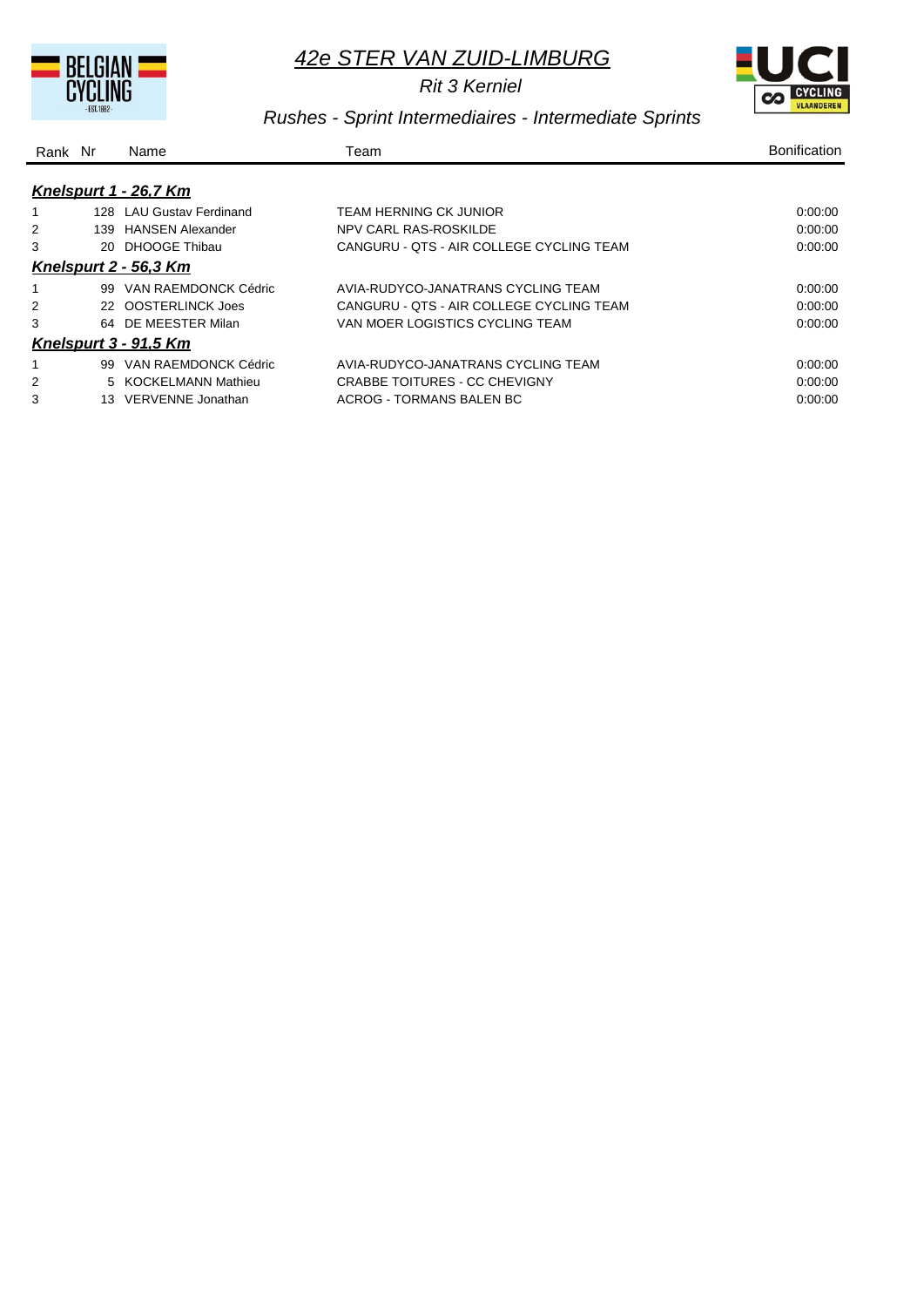

*Rit 3 Kerniel* 



*Rushes - Sprint Intermediaires - Intermediate Sprints*

| Rank Nr |     | Name                         | Team                                     | <b>Bonification</b> |
|---------|-----|------------------------------|------------------------------------------|---------------------|
|         |     | Knelspurt 1 - 26,7 Km        |                                          |                     |
|         |     | 128 LAU Gustav Ferdinand     | TEAM HERNING CK JUNIOR                   | 0.00:00             |
| 2       |     | 139 HANSEN Alexander         | NPV CARL RAS-ROSKILDE                    | 0.00:00             |
| 3       |     | 20 DHOOGE Thibau             | CANGURU - OTS - AIR COLLEGE CYCLING TEAM | 0:00:00             |
|         |     | <b>Knelspurt 2 - 56,3 Km</b> |                                          |                     |
|         | 99  | VAN RAEMDONCK Cédric         | AVIA-RUDYCO-JANATRANS CYCLING TEAM       | 0.00:00             |
| 2       |     | 22 OOSTERLINCK Joes          | CANGURU - OTS - AIR COLLEGE CYCLING TEAM | 0.00:00             |
| 3       |     | 64 DE MEESTER Milan          | VAN MOER LOGISTICS CYCLING TEAM          | 0.00:00             |
|         |     | Knelspurt 3 - 91,5 Km        |                                          |                     |
| 1       | 99. | VAN RAEMDONCK Cédric         | AVIA-RUDYCO-JANATRANS CYCLING TEAM       | 0.00:00             |
| 2       |     | 5 KOCKELMANN Mathieu         | CRABBE TOITURES - CC CHEVIGNY            | 0.00:00             |
| 3       | 13. | VERVENNE Jonathan            | ACROG - TORMANS BALEN BC                 | 0:00:00             |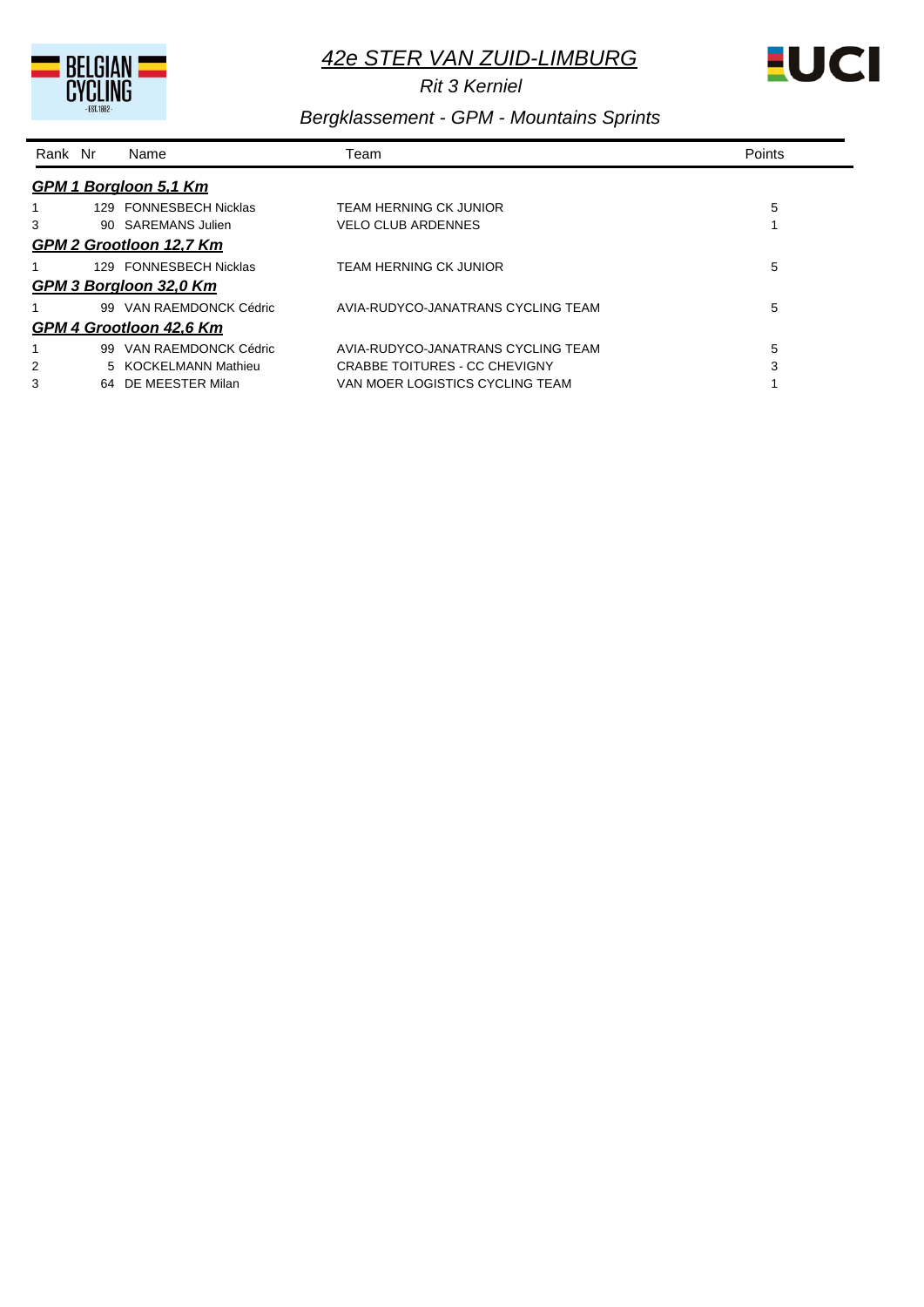

*Rit 3 Kerniel* 



#### *Bergklassement - GPM - Mountains Sprints*

| Rank Nr               |     | Name                           | Team                               | Points |  |  |  |  |
|-----------------------|-----|--------------------------------|------------------------------------|--------|--|--|--|--|
| GPM 1 Borgloon 5.1 Km |     |                                |                                    |        |  |  |  |  |
|                       |     | 129 FONNESBECH Nicklas         | TEAM HERNING CK JUNIOR             | 5      |  |  |  |  |
| 3                     |     | 90 SAREMANS Julien             | <b>VELO CLUB ARDENNES</b>          |        |  |  |  |  |
|                       |     | GPM 2 Grootloon 12,7 Km        |                                    |        |  |  |  |  |
|                       |     | 129 FONNESBECH Nicklas         | <b>TEAM HERNING CK JUNIOR</b>      | 5      |  |  |  |  |
|                       |     | GPM 3 Borgloon 32,0 Km         |                                    |        |  |  |  |  |
|                       |     | 99 VAN RAEMDONCK Cédric        | AVIA-RUDYCO-JANATRANS CYCLING TEAM | 5      |  |  |  |  |
|                       |     | <b>GPM 4 Grootloon 42,6 Km</b> |                                    |        |  |  |  |  |
|                       | 99. | VAN RAEMDONCK Cédric           | AVIA-RUDYCO-JANATRANS CYCLING TEAM | 5      |  |  |  |  |
| 2                     |     | 5 KOCKELMANN Mathieu           | CRABBE TOITURES - CC CHEVIGNY      | 3      |  |  |  |  |
| 3                     | 64. | DE MEESTER Milan               | VAN MOER LOGISTICS CYCLING TEAM    |        |  |  |  |  |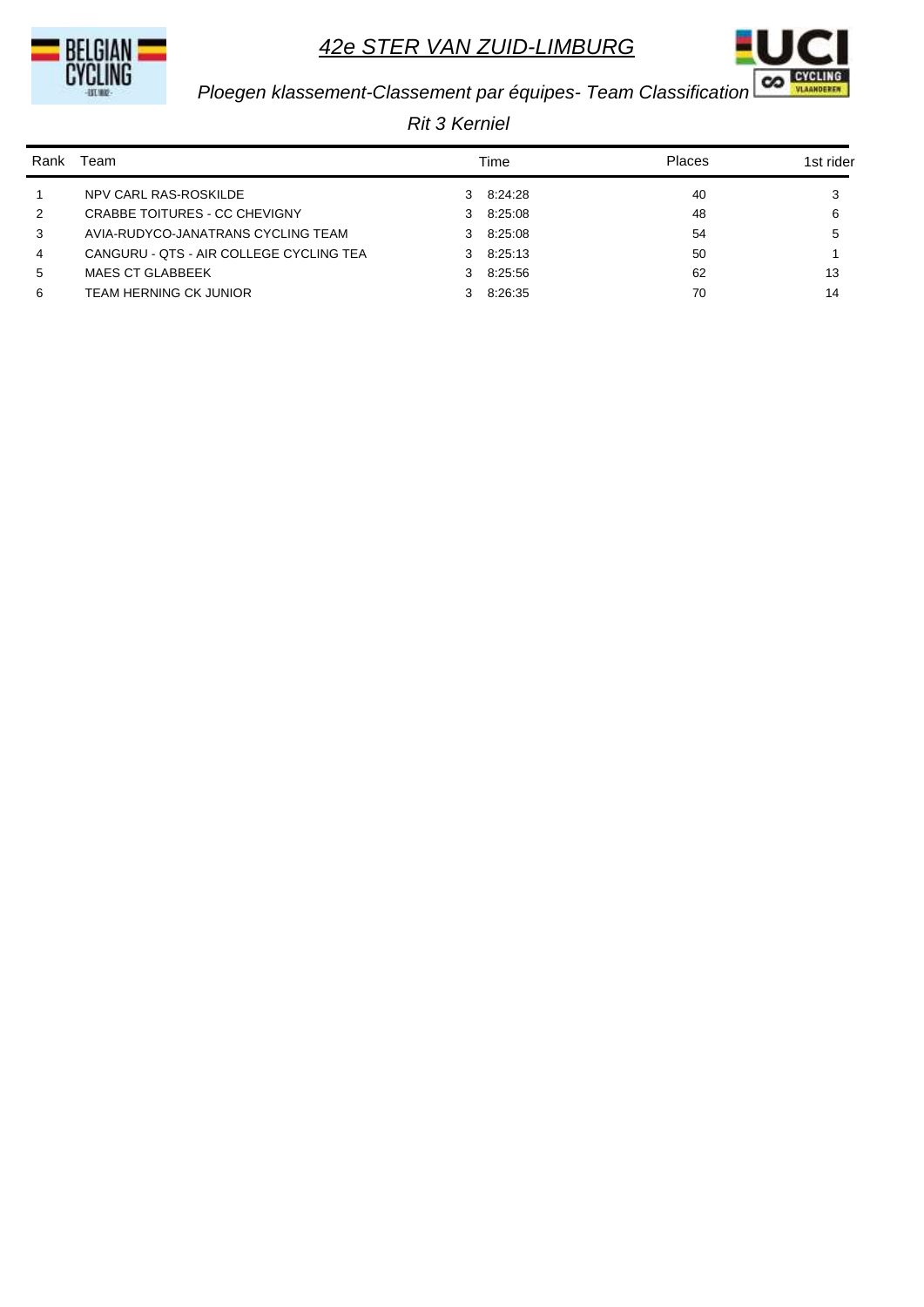



# *Ploegen klassement-Classement par équipes- Team Classification*

*Rit 3 Kerniel* 

| Rank           | Геаm                                    |   | Time      | <b>Places</b> | 1st rider |
|----------------|-----------------------------------------|---|-----------|---------------|-----------|
|                | NPV CARL RAS-ROSKILDE                   |   | 3 8:24:28 | 40            | 3         |
| 2              | <b>CRABBE TOITURES - CC CHEVIGNY</b>    | 3 | 8:25:08   | 48            | 6         |
| 3              | AVIA-RUDYCO-JANATRANS CYCLING TEAM      |   | 3 8:25:08 | 54            | 5         |
| $\overline{4}$ | CANGURU - QTS - AIR COLLEGE CYCLING TEA |   | 3 8:25:13 | 50            |           |
| 5              | <b>MAES CT GLABBEEK</b>                 |   | 3 8:25:56 | 62            | 13        |
| 6              | <b>TEAM HERNING CK JUNIOR</b>           | 3 | 8:26:35   | 70            | 14        |
|                |                                         |   |           |               |           |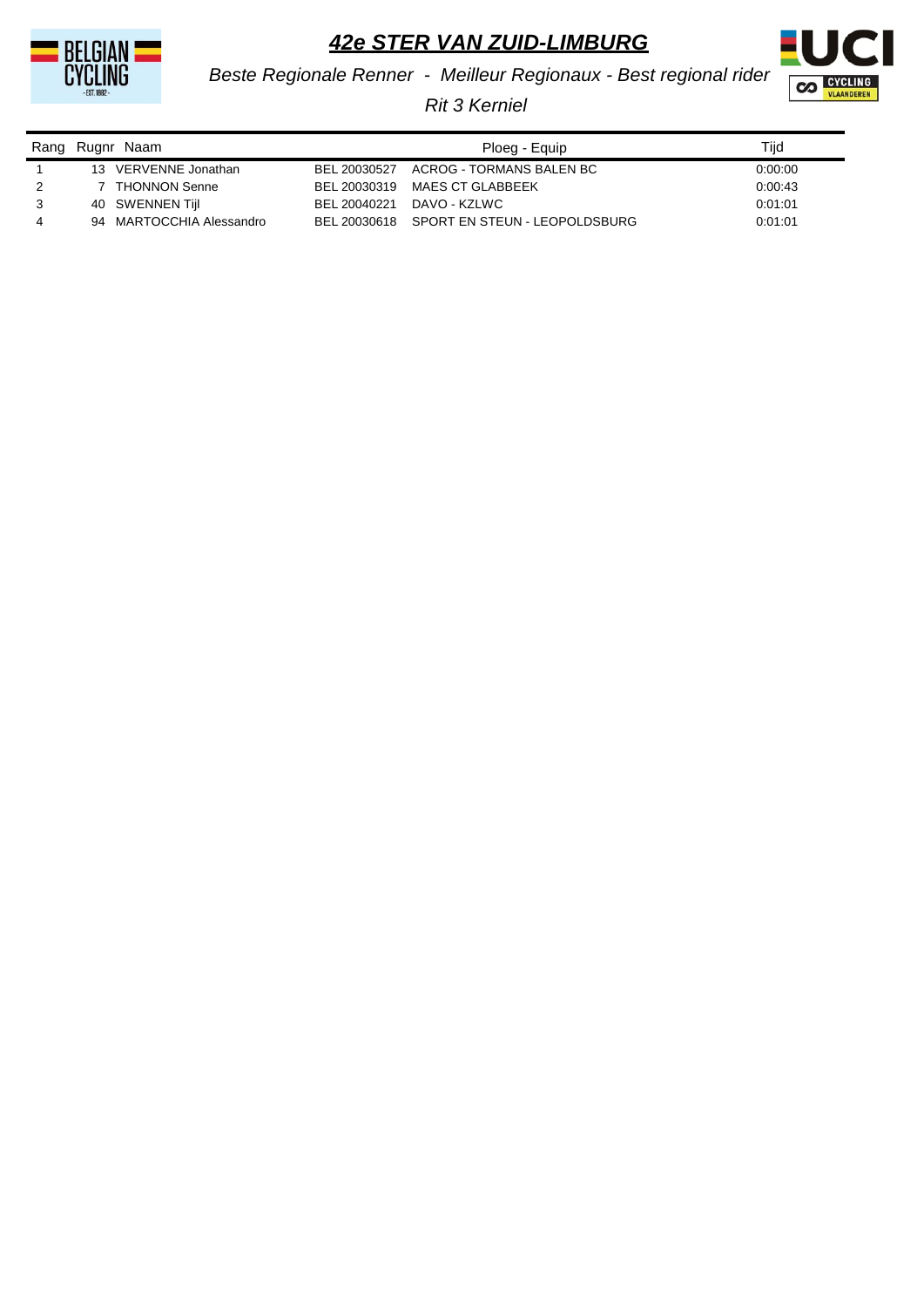



*Beste Regionale Renner - Meilleur Regionaux - Best regional rider*

*Rit 3 Kerniel* 

|   | Rang Rugnr Naam          |              | Ploeg - Equip                 | Tiid    |
|---|--------------------------|--------------|-------------------------------|---------|
|   | 13 VERVENNE Jonathan     | BEL 20030527 | ACROG - TORMANS BALEN BC      | 0.00.00 |
|   | THONNON Senne            | BEL 20030319 | MAES CT GLABBEEK              | 0.00.43 |
| 3 | 40 SWENNEN Tijl          | BEL 20040221 | DAVO - KZLWC                  | 0:01:01 |
|   | 94 MARTOCCHIA Alessandro | BEL 20030618 | SPORT EN STEUN - LEOPOLDSBURG | 0.01:01 |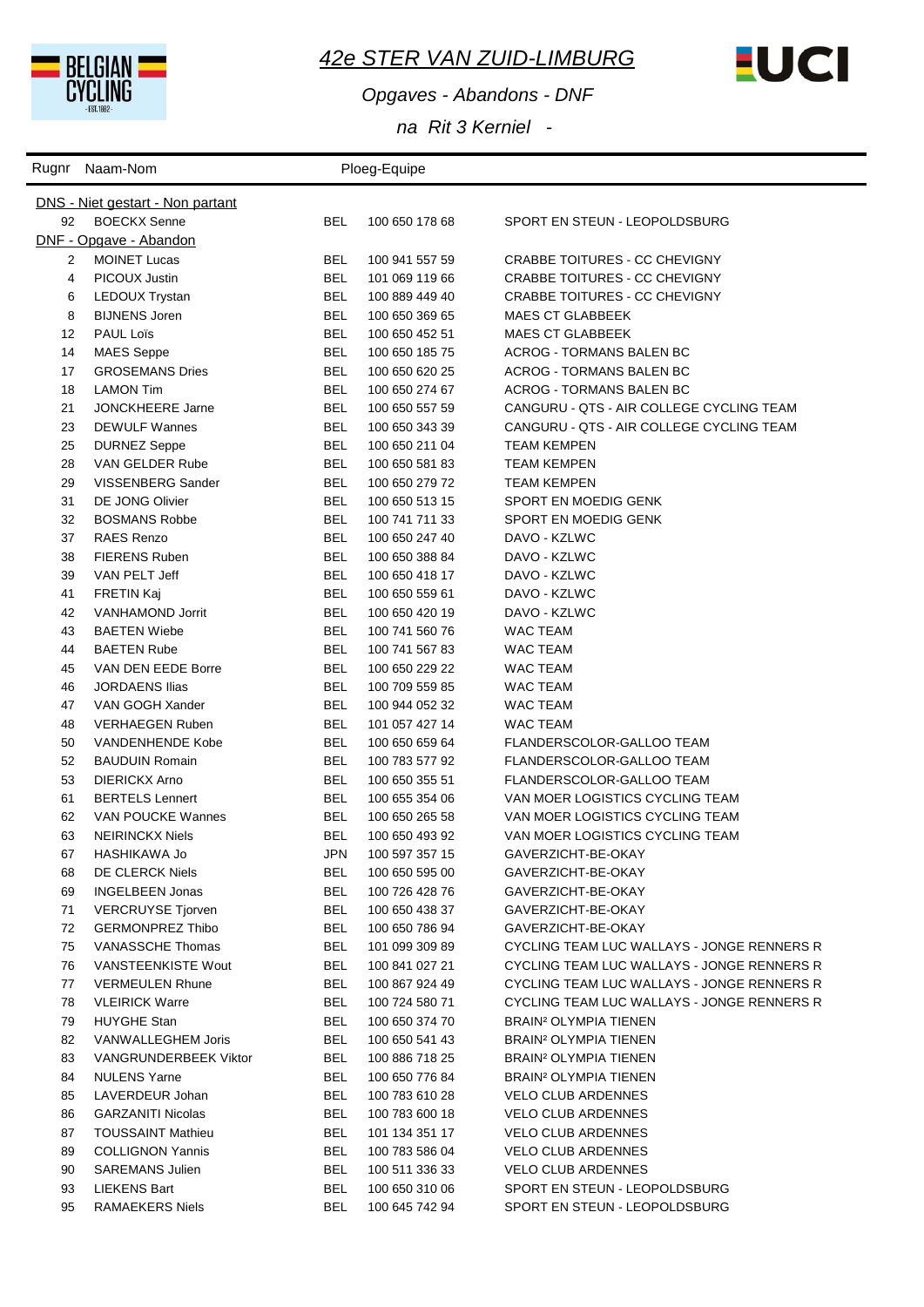





| Rugnr          | Naam-Nom                                |            | Ploeg-Equipe   |                                            |  |  |  |
|----------------|-----------------------------------------|------------|----------------|--------------------------------------------|--|--|--|
|                | <b>DNS</b> - Niet gestart - Non partant |            |                |                                            |  |  |  |
| 92             | <b>BOECKX Senne</b>                     | <b>BEL</b> | 100 650 178 68 | SPORT EN STEUN - LEOPOLDSBURG              |  |  |  |
|                | DNF - Opgave - Abandon                  |            |                |                                            |  |  |  |
| $\overline{2}$ | <b>MOINET Lucas</b>                     | <b>BEL</b> | 100 941 557 59 | CRABBE TOITURES - CC CHEVIGNY              |  |  |  |
| 4              | PICOUX Justin                           | <b>BEL</b> | 101 069 119 66 | CRABBE TOITURES - CC CHEVIGNY              |  |  |  |
| 6              | LEDOUX Trystan                          | <b>BEL</b> | 100 889 449 40 | CRABBE TOITURES - CC CHEVIGNY              |  |  |  |
| 8              | <b>BIJNENS Joren</b>                    | <b>BEL</b> | 100 650 369 65 | <b>MAES CT GLABBEEK</b>                    |  |  |  |
| 12             | PAUL Loïs                               | <b>BEL</b> | 100 650 452 51 | <b>MAES CT GLABBEEK</b>                    |  |  |  |
| 14             | <b>MAES</b> Seppe                       | <b>BEL</b> | 100 650 185 75 | <b>ACROG - TORMANS BALEN BC</b>            |  |  |  |
| 17             | <b>GROSEMANS Dries</b>                  | <b>BEL</b> | 100 650 620 25 | <b>ACROG - TORMANS BALEN BC</b>            |  |  |  |
| 18             | <b>LAMON Tim</b>                        | <b>BEL</b> | 100 650 274 67 | ACROG - TORMANS BALEN BC                   |  |  |  |
| 21             | <b>JONCKHEERE Jarne</b>                 | <b>BEL</b> | 100 650 557 59 | CANGURU - QTS - AIR COLLEGE CYCLING TEAM   |  |  |  |
| 23             | <b>DEWULF Wannes</b>                    | <b>BEL</b> | 100 650 343 39 | CANGURU - QTS - AIR COLLEGE CYCLING TEAM   |  |  |  |
| 25             | <b>DURNEZ Seppe</b>                     | <b>BEL</b> | 100 650 211 04 | <b>TEAM KEMPEN</b>                         |  |  |  |
| 28             | VAN GELDER Rube                         | <b>BEL</b> | 100 650 581 83 | <b>TEAM KEMPEN</b>                         |  |  |  |
| 29             | VISSENBERG Sander                       | <b>BEL</b> | 100 650 279 72 | <b>TEAM KEMPEN</b>                         |  |  |  |
| 31             | DE JONG Olivier                         | <b>BEL</b> | 100 650 513 15 | SPORT EN MOEDIG GENK                       |  |  |  |
| 32             | <b>BOSMANS Robbe</b>                    | <b>BEL</b> | 100 741 711 33 | SPORT EN MOEDIG GENK                       |  |  |  |
| 37             | <b>RAES Renzo</b>                       | <b>BEL</b> | 100 650 247 40 | DAVO - KZLWC                               |  |  |  |
| 38             | <b>FIERENS Ruben</b>                    | <b>BEL</b> | 100 650 388 84 | DAVO - KZLWC                               |  |  |  |
| 39             | VAN PELT Jeff                           | <b>BEL</b> | 100 650 418 17 | DAVO - KZLWC                               |  |  |  |
| 41             | <b>FRETIN Kaj</b>                       | <b>BEL</b> | 100 650 559 61 | DAVO - KZLWC                               |  |  |  |
| 42             | <b>VANHAMOND Jorrit</b>                 | <b>BEL</b> | 100 650 420 19 | DAVO - KZLWC                               |  |  |  |
| 43             | <b>BAETEN Wiebe</b>                     | <b>BEL</b> | 100 741 560 76 | <b>WAC TEAM</b>                            |  |  |  |
| 44             | <b>BAETEN Rube</b>                      | <b>BEL</b> | 100 741 567 83 | <b>WAC TEAM</b>                            |  |  |  |
| 45             | VAN DEN EEDE Borre                      | <b>BEL</b> | 100 650 229 22 | WAC TEAM                                   |  |  |  |
| 46             | <b>JORDAENS Ilias</b>                   | <b>BEL</b> | 100 709 559 85 | <b>WAC TEAM</b>                            |  |  |  |
| 47             | VAN GOGH Xander                         | <b>BEL</b> | 100 944 052 32 | <b>WAC TEAM</b>                            |  |  |  |
| 48             | <b>VERHAEGEN Ruben</b>                  | <b>BEL</b> | 101 057 427 14 | WAC TEAM                                   |  |  |  |
| 50             | <b>VANDENHENDE Kobe</b>                 | <b>BEL</b> | 100 650 659 64 | FLANDERSCOLOR-GALLOO TEAM                  |  |  |  |
| 52             | <b>BAUDUIN Romain</b>                   | <b>BEL</b> | 100 783 577 92 | FLANDERSCOLOR-GALLOO TEAM                  |  |  |  |
| 53             | <b>DIERICKX Arno</b>                    | <b>BEL</b> | 100 650 355 51 | FLANDERSCOLOR-GALLOO TEAM                  |  |  |  |
| 61             | <b>BERTELS Lennert</b>                  | <b>BEL</b> | 100 655 354 06 | VAN MOER LOGISTICS CYCLING TEAM            |  |  |  |
| 62             | VAN POUCKE Wannes                       | <b>BEL</b> | 100 650 265 58 | VAN MOER LOGISTICS CYCLING TEAM            |  |  |  |
| 63             | <b>NEIRINCKX Niels</b>                  | <b>BEL</b> | 100 650 493 92 | VAN MOER LOGISTICS CYCLING TEAM            |  |  |  |
| 67             | HASHIKAWA Jo                            | JPN        | 100 597 357 15 | GAVERZICHT-BE-OKAY                         |  |  |  |
| 68             | DE CLERCK Niels                         | BEL        | 100 650 595 00 | GAVERZICHT-BE-OKAY                         |  |  |  |
| 69             | <b>INGELBEEN Jonas</b>                  | BEL        | 100 726 428 76 | GAVERZICHT-BE-OKAY                         |  |  |  |
| 71             | <b>VERCRUYSE Tjorven</b>                | <b>BEL</b> | 100 650 438 37 | GAVERZICHT-BE-OKAY                         |  |  |  |
| 72             | <b>GERMONPREZ Thibo</b>                 | BEL        | 100 650 786 94 | GAVERZICHT-BE-OKAY                         |  |  |  |
| 75             | VANASSCHE Thomas                        | <b>BEL</b> | 101 099 309 89 | CYCLING TEAM LUC WALLAYS - JONGE RENNERS R |  |  |  |
| 76             | VANSTEENKISTE Wout                      | BEL        | 100 841 027 21 | CYCLING TEAM LUC WALLAYS - JONGE RENNERS R |  |  |  |
| 77             | <b>VERMEULEN Rhune</b>                  | BEL        | 100 867 924 49 | CYCLING TEAM LUC WALLAYS - JONGE RENNERS R |  |  |  |
| 78             | <b>VLEIRICK Warre</b>                   | <b>BEL</b> | 100 724 580 71 | CYCLING TEAM LUC WALLAYS - JONGE RENNERS R |  |  |  |
| 79             | HUYGHE Stan                             | <b>BEL</b> | 100 650 374 70 | BRAIN <sup>2</sup> OLYMPIA TIENEN          |  |  |  |
| 82             | VANWALLEGHEM Joris                      | <b>BEL</b> | 100 650 541 43 | BRAIN <sup>2</sup> OLYMPIA TIENEN          |  |  |  |
| 83             | <b>VANGRUNDERBEEK Viktor</b>            | <b>BEL</b> | 100 886 718 25 | BRAIN <sup>2</sup> OLYMPIA TIENEN          |  |  |  |
| 84             | <b>NULENS Yarne</b>                     | <b>BEL</b> | 100 650 776 84 | BRAIN <sup>2</sup> OLYMPIA TIENEN          |  |  |  |
| 85             | LAVERDEUR Johan                         | <b>BEL</b> | 100 783 610 28 | <b>VELO CLUB ARDENNES</b>                  |  |  |  |
| 86             | <b>GARZANITI Nicolas</b>                | BEL        | 100 783 600 18 | <b>VELO CLUB ARDENNES</b>                  |  |  |  |
| 87             | <b>TOUSSAINT Mathieu</b>                | BEL        | 101 134 351 17 | <b>VELO CLUB ARDENNES</b>                  |  |  |  |
| 89             | <b>COLLIGNON Yannis</b>                 | BEL        | 100 783 586 04 | <b>VELO CLUB ARDENNES</b>                  |  |  |  |
| 90             | <b>SAREMANS Julien</b>                  | BEL        | 100 511 336 33 | <b>VELO CLUB ARDENNES</b>                  |  |  |  |
| 93             | LIEKENS Bart                            | BEL        | 100 650 310 06 | SPORT EN STEUN - LEOPOLDSBURG              |  |  |  |
| 95             | RAMAEKERS Niels                         | BEL        | 100 645 742 94 | SPORT EN STEUN - LEOPOLDSBURG              |  |  |  |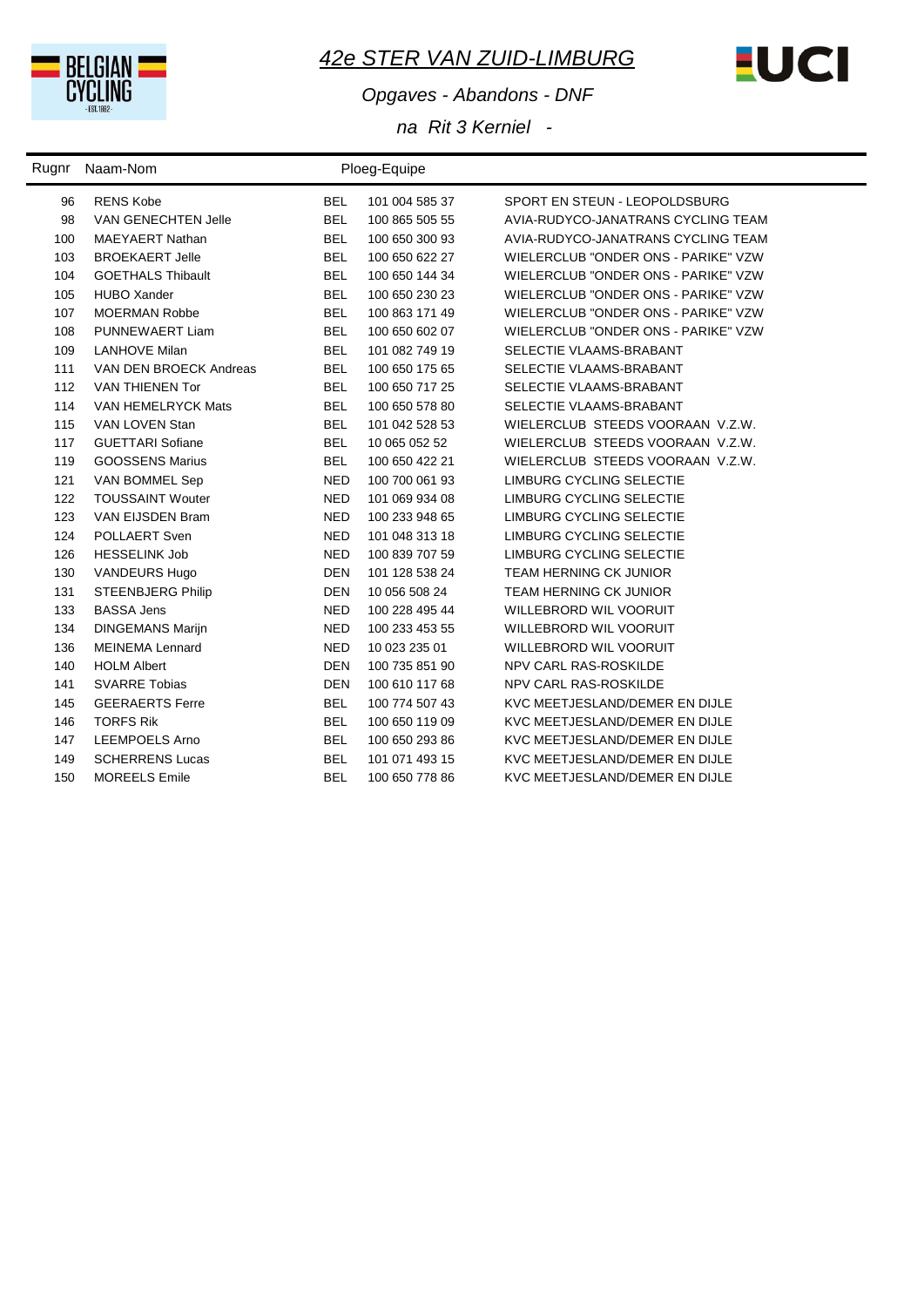



Opgaves - Abandons - DNF

| Rugnr | Naam-Nom                   |            | Ploeg-Equipe   |                                     |
|-------|----------------------------|------------|----------------|-------------------------------------|
| 96    | <b>RENS Kobe</b>           | <b>BEL</b> | 101 004 585 37 | SPORT EN STEUN - LEOPOLDSBURG       |
| 98    | <b>VAN GENECHTEN Jelle</b> | <b>BEL</b> | 100 865 505 55 | AVIA-RUDYCO-JANATRANS CYCLING TEAM  |
| 100   | <b>MAEYAERT Nathan</b>     | <b>BEL</b> | 100 650 300 93 | AVIA-RUDYCO-JANATRANS CYCLING TEAM  |
| 103   | <b>BROEKAERT Jelle</b>     | <b>BEL</b> | 100 650 622 27 | WIELERCLUB "ONDER ONS - PARIKE" VZW |
| 104   | <b>GOETHALS Thibault</b>   | <b>BEL</b> | 100 650 144 34 | WIELERCLUB "ONDER ONS - PARIKE" VZW |
| 105   | <b>HUBO Xander</b>         | <b>BEL</b> | 100 650 230 23 | WIELERCLUB "ONDER ONS - PARIKE" VZW |
| 107   | <b>MOERMAN Robbe</b>       | <b>BEL</b> | 100 863 171 49 | WIELERCLUB "ONDER ONS - PARIKE" VZW |
| 108   | PUNNEWAERT Liam            | <b>BEL</b> | 100 650 602 07 | WIELERCLUB "ONDER ONS - PARIKE" VZW |
| 109   | <b>LANHOVE Milan</b>       | <b>BEL</b> | 101 082 749 19 | SELECTIE VLAAMS-BRABANT             |
| 111   | VAN DEN BROECK Andreas     | <b>BEL</b> | 100 650 175 65 | SELECTIE VLAAMS-BRABANT             |
| 112   | <b>VAN THIENEN Tor</b>     | <b>BEL</b> | 100 650 717 25 | SELECTIE VLAAMS-BRABANT             |
| 114   | VAN HEMELRYCK Mats         | <b>BEL</b> | 100 650 578 80 | SELECTIE VLAAMS-BRABANT             |
| 115   | VAN LOVEN Stan             | <b>BEL</b> | 101 042 528 53 | WIELERCLUB STEEDS VOORAAN V.Z.W.    |
| 117   | <b>GUETTARI Sofiane</b>    | <b>BEL</b> | 10 065 052 52  | WIELERCLUB STEEDS VOORAAN V.Z.W.    |
| 119   | <b>GOOSSENS Marius</b>     | <b>BEL</b> | 100 650 422 21 | WIELERCLUB STEEDS VOORAAN V.Z.W.    |
| 121   | VAN BOMMEL Sep             | <b>NED</b> | 100 700 061 93 | <b>LIMBURG CYCLING SELECTIE</b>     |
| 122   | <b>TOUSSAINT Wouter</b>    | <b>NED</b> | 101 069 934 08 | LIMBURG CYCLING SELECTIE            |
| 123   | VAN EIJSDEN Bram           | <b>NED</b> | 100 233 948 65 | LIMBURG CYCLING SELECTIE            |
| 124   | <b>POLLAERT Sven</b>       | <b>NED</b> | 101 048 313 18 | LIMBURG CYCLING SELECTIE            |
| 126   | <b>HESSELINK Job</b>       | <b>NED</b> | 100 839 707 59 | LIMBURG CYCLING SELECTIE            |
| 130   | <b>VANDEURS Hugo</b>       | <b>DEN</b> | 101 128 538 24 | <b>TEAM HERNING CK JUNIOR</b>       |
| 131   | <b>STEENBJERG Philip</b>   | <b>DEN</b> | 10 056 508 24  | <b>TEAM HERNING CK JUNIOR</b>       |
| 133   | <b>BASSA Jens</b>          | <b>NED</b> | 100 228 495 44 | <b>WILLEBRORD WIL VOORUIT</b>       |
| 134   | <b>DINGEMANS Marijn</b>    | <b>NED</b> | 100 233 453 55 | <b>WILLEBRORD WIL VOORUIT</b>       |
| 136   | <b>MEINEMA Lennard</b>     | <b>NED</b> | 10 023 235 01  | WILLEBRORD WIL VOORUIT              |
| 140   | <b>HOLM Albert</b>         | <b>DEN</b> | 100 735 851 90 | NPV CARL RAS-ROSKILDE               |
| 141   | <b>SVARRE Tobias</b>       | <b>DEN</b> | 100 610 117 68 | NPV CARL RAS-ROSKILDE               |
| 145   | <b>GEERAERTS Ferre</b>     | <b>BEL</b> | 100 774 507 43 | KVC MEETJESLAND/DEMER EN DIJLE      |
| 146   | <b>TORFS Rik</b>           | <b>BEL</b> | 100 650 119 09 | KVC MEETJESLAND/DEMER EN DIJLE      |
| 147   | <b>LEEMPOELS Arno</b>      | <b>BEL</b> | 100 650 293 86 | KVC MEETJESLAND/DEMER EN DIJLE      |
| 149   | <b>SCHERRENS Lucas</b>     | <b>BEL</b> | 101 071 493 15 | KVC MEETJESLAND/DEMER EN DIJLE      |
| 150   | <b>MOREELS Emile</b>       | <b>BEL</b> | 100 650 778 86 | KVC MEETJESLAND/DEMER EN DIJLE      |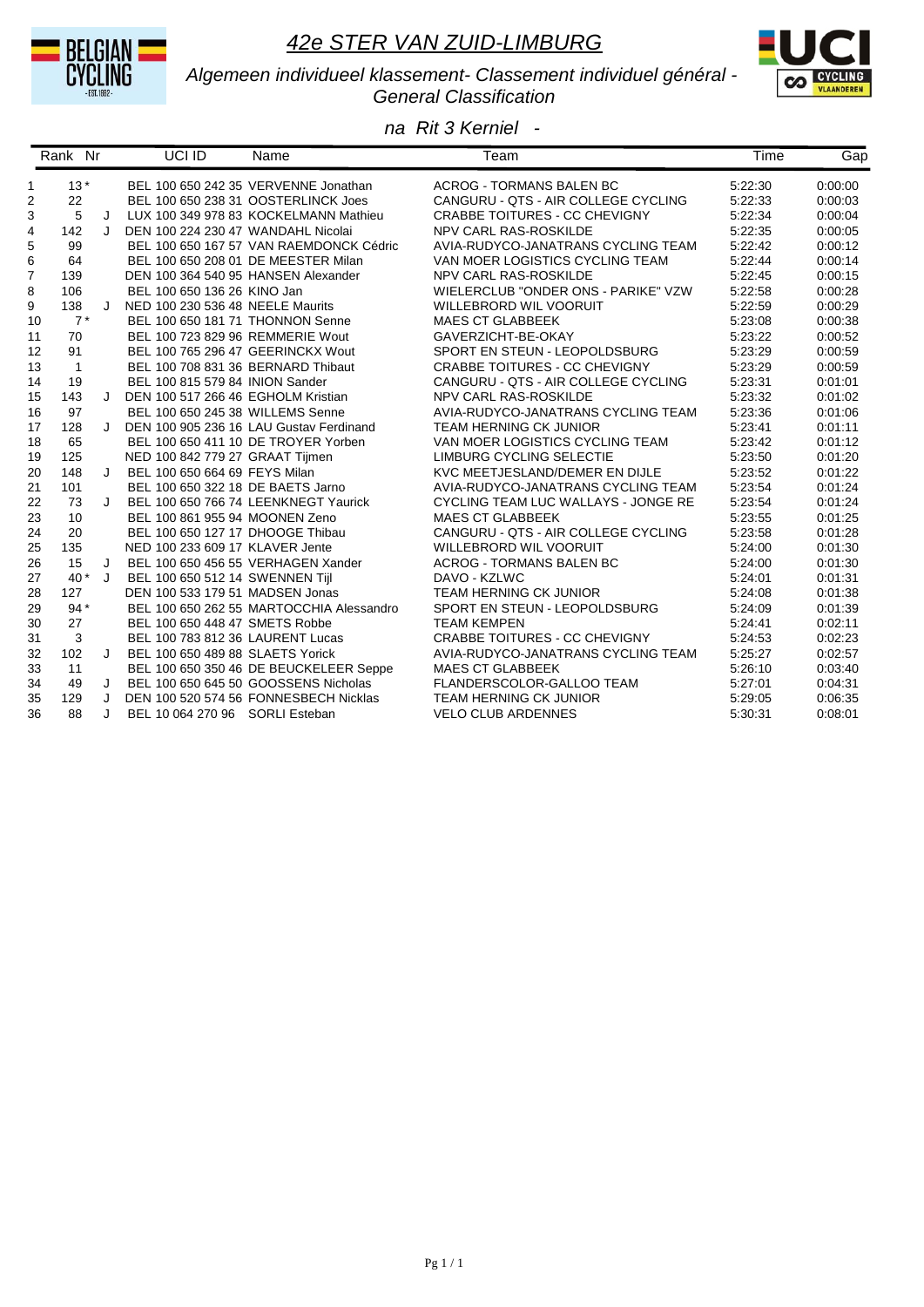

# Algemeen individueel klassement- Classement individuel général -<br>General Classification



|                | Rank Nr        |         | UCI ID                              | Name                                     | Team                                 | Time    | Gap     |
|----------------|----------------|---------|-------------------------------------|------------------------------------------|--------------------------------------|---------|---------|
| 1              | $13*$          |         |                                     | BEL 100 650 242 35 VERVENNE Jonathan     | <b>ACROG - TORMANS BALEN BC</b>      | 5:22:30 | 0:00:00 |
| 2              | 22             |         |                                     | BEL 100 650 238 31 OOSTERLINCK Joes      | CANGURU - QTS - AIR COLLEGE CYCLING  | 5:22:33 | 0:00:03 |
| 3              | 5              | J       |                                     | LUX 100 349 978 83 KOCKELMANN Mathieu    | <b>CRABBE TOITURES - CC CHEVIGNY</b> | 5:22:34 | 0:00:04 |
| 4              | 142            | J       | DEN 100 224 230 47 WANDAHL Nicolai  |                                          | NPV CARL RAS-ROSKILDE                | 5:22:35 | 0:00:05 |
| 5              | 99             |         |                                     | BEL 100 650 167 57 VAN RAEMDONCK Cédric  | AVIA-RUDYCO-JANATRANS CYCLING TEAM   | 5:22:42 | 0:00:12 |
| 6              | 64             |         |                                     | BEL 100 650 208 01 DE MEESTER Milan      | VAN MOER LOGISTICS CYCLING TEAM      | 5:22:44 | 0:00:14 |
| $\overline{7}$ | 139            |         | DEN 100 364 540 95 HANSEN Alexander |                                          | NPV CARL RAS-ROSKILDE                | 5:22:45 | 0:00:15 |
| 8              | 106            |         | BEL 100 650 136 26 KINO Jan         |                                          | WIELERCLUB "ONDER ONS - PARIKE" VZW  | 5:22:58 | 0:00:28 |
| 9              | 138            | J       | NED 100 230 536 48 NEELE Maurits    |                                          | <b>WILLEBRORD WIL VOORUIT</b>        | 5:22:59 | 0:00:29 |
| 10             | $7*$           |         | BEL 100 650 181 71 THONNON Senne    |                                          | <b>MAES CT GLABBEEK</b>              | 5:23:08 | 0:00:38 |
| 11             | 70             |         | BEL 100 723 829 96 REMMERIE Wout    |                                          | GAVERZICHT-BE-OKAY                   | 5:23:22 | 0:00:52 |
| 12             | 91             |         | BEL 100 765 296 47 GEERINCKX Wout   |                                          | SPORT EN STEUN - LEOPOLDSBURG        | 5:23:29 | 0:00:59 |
| 13             | $\overline{1}$ |         | BEL 100 708 831 36 BERNARD Thibaut  |                                          | <b>CRABBE TOITURES - CC CHEVIGNY</b> | 5:23:29 | 0:00:59 |
| 14             | 19             |         | BEL 100 815 579 84 INION Sander     |                                          | CANGURU - QTS - AIR COLLEGE CYCLING  | 5.23:31 | 0:01:01 |
| 15             | 143            | $\cdot$ | DEN 100 517 266 46 EGHOLM Kristian  |                                          | NPV CARL RAS-ROSKILDE                | 5:23:32 | 0:01:02 |
| 16             | 97             |         | BEL 100 650 245 38 WILLEMS Senne    |                                          | AVIA-RUDYCO-JANATRANS CYCLING TEAM   | 5:23:36 | 0:01:06 |
| 17             | 128            | Π.      |                                     | DEN 100 905 236 16 LAU Gustav Ferdinand  | TEAM HERNING CK JUNIOR               | 5:23:41 | 0:01:11 |
| 18             | 65             |         |                                     | BEL 100 650 411 10 DE TROYER Yorben      | VAN MOER LOGISTICS CYCLING TEAM      | 5:23:42 | 0:01:12 |
| 19             | 125            |         | NED 100 842 779 27 GRAAT Tijmen     |                                          | LIMBURG CYCLING SELECTIE             | 5:23:50 | 0:01:20 |
| 20             | 148            | J       | BEL 100 650 664 69 FEYS Milan       |                                          | KVC MEETJESLAND/DEMER EN DIJLE       | 5:23:52 | 0:01:22 |
| 21             | 101            |         | BEL 100 650 322 18 DE BAETS Jarno   |                                          | AVIA-RUDYCO-JANATRANS CYCLING TEAM   | 5:23:54 | 0:01:24 |
| 22             | 73             | $\cdot$ |                                     | BEL 100 650 766 74 LEENKNEGT Yaurick     | CYCLING TEAM LUC WALLAYS - JONGE RE  | 5:23:54 | 0:01:24 |
| 23             | 10             |         | BEL 100 861 955 94 MOONEN Zeno      |                                          | <b>MAES CT GLABBEEK</b>              | 5:23:55 | 0:01:25 |
| 24             | 20             |         | BEL 100 650 127 17 DHOOGE Thibau    |                                          | CANGURU - QTS - AIR COLLEGE CYCLING  | 5:23:58 | 0:01:28 |
| 25             | 135            |         | NED 100 233 609 17 KLAVER Jente     |                                          | <b>WILLEBRORD WIL VOORUIT</b>        | 5:24:00 | 0:01:30 |
| 26             | 15             | J       |                                     | BEL 100 650 456 55 VERHAGEN Xander       | <b>ACROG - TORMANS BALEN BC</b>      | 5:24:00 | 0:01:30 |
| 27             | $40*$          | J       | BEL 100 650 512 14 SWENNEN Tijl     |                                          | DAVO - KZLWC                         | 5:24:01 | 0:01:31 |
| 28             | 127            |         | DEN 100 533 179 51 MADSEN Jonas     |                                          | <b>TEAM HERNING CK JUNIOR</b>        | 5:24:08 | 0:01:38 |
| 29             | $94*$          |         |                                     | BEL 100 650 262 55 MARTOCCHIA Alessandro | SPORT EN STEUN - LEOPOLDSBURG        | 5:24:09 | 0:01:39 |
| 30             | 27             |         | BEL 100 650 448 47 SMETS Robbe      |                                          | <b>TEAM KEMPEN</b>                   | 5:24:41 | 0:02:11 |
| 31             | 3              |         | BEL 100 783 812 36 LAURENT Lucas    |                                          | CRABBE TOITURES - CC CHEVIGNY        | 5:24:53 | 0:02:23 |
| 32             | 102            | J       | BEL 100 650 489 88 SLAETS Yorick    |                                          | AVIA-RUDYCO-JANATRANS CYCLING TEAM   | 5:25:27 | 0:02:57 |
| 33             | 11             |         |                                     | BEL 100 650 350 46 DE BEUCKELEER Seppe   | <b>MAES CT GLABBEEK</b>              | 5:26:10 | 0:03:40 |
| 34             | 49             | J       |                                     | BEL 100 650 645 50 GOOSSENS Nicholas     | FLANDERSCOLOR-GALLOO TEAM            | 5:27:01 | 0:04:31 |
| 35             | 129            | J       |                                     | DEN 100 520 574 56 FONNESBECH Nicklas    | <b>TEAM HERNING CK JUNIOR</b>        | 5:29:05 | 0:06:35 |
| 36             | 88             | J       | BEL 10 064 270 96 SORLI Esteban     |                                          | <b>VELO CLUB ARDENNES</b>            | 5:30:31 | 0:08:01 |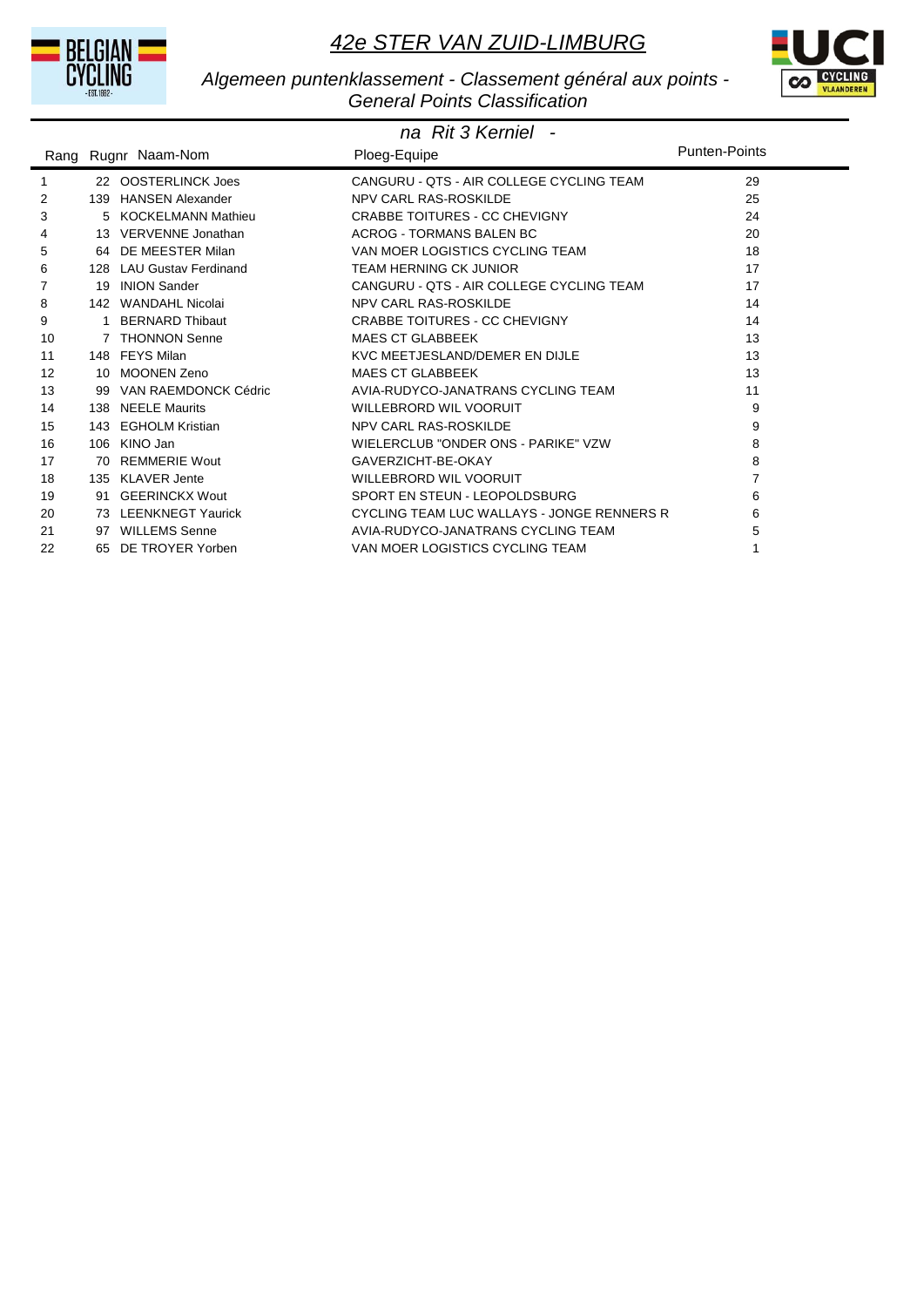



Algemeen puntenklassement - Classement général aux points -<br>General Points Classification

|     |                         | na Rit 3 Kerniel                                                                                                                                                                                                                                                                                                                                                                                             |                      |
|-----|-------------------------|--------------------------------------------------------------------------------------------------------------------------------------------------------------------------------------------------------------------------------------------------------------------------------------------------------------------------------------------------------------------------------------------------------------|----------------------|
|     |                         | Ploeg-Equipe                                                                                                                                                                                                                                                                                                                                                                                                 | <b>Punten-Points</b> |
|     |                         | CANGURU - QTS - AIR COLLEGE CYCLING TEAM                                                                                                                                                                                                                                                                                                                                                                     | 29                   |
| 139 | <b>HANSEN Alexander</b> | NPV CARL RAS-ROSKILDE                                                                                                                                                                                                                                                                                                                                                                                        | 25                   |
|     |                         | CRABBE TOITURES - CC CHEVIGNY                                                                                                                                                                                                                                                                                                                                                                                | 24                   |
|     |                         | ACROG - TORMANS BALEN BC                                                                                                                                                                                                                                                                                                                                                                                     | 20                   |
|     |                         | VAN MOER LOGISTICS CYCLING TEAM                                                                                                                                                                                                                                                                                                                                                                              | 18                   |
|     |                         | <b>TEAM HERNING CK JUNIOR</b>                                                                                                                                                                                                                                                                                                                                                                                | 17                   |
|     | <b>INION Sander</b>     | CANGURU - QTS - AIR COLLEGE CYCLING TEAM                                                                                                                                                                                                                                                                                                                                                                     | 17                   |
|     |                         | NPV CARL RAS-ROSKILDE                                                                                                                                                                                                                                                                                                                                                                                        | 14                   |
|     |                         | CRABBE TOITURES - CC CHEVIGNY                                                                                                                                                                                                                                                                                                                                                                                | 14                   |
|     |                         | <b>MAES CT GLABBEEK</b>                                                                                                                                                                                                                                                                                                                                                                                      | 13                   |
|     |                         | KVC MEETJESLAND/DEMER EN DIJLE                                                                                                                                                                                                                                                                                                                                                                               | 13                   |
|     |                         | MAES CT GLABBEEK                                                                                                                                                                                                                                                                                                                                                                                             | 13                   |
|     | VAN RAEMDONCK Cédric    | AVIA-RUDYCO-JANATRANS CYCLING TEAM                                                                                                                                                                                                                                                                                                                                                                           | 11                   |
| 138 |                         | <b>WILLEBRORD WIL VOORUIT</b>                                                                                                                                                                                                                                                                                                                                                                                | 9                    |
| 143 | <b>EGHOLM Kristian</b>  | NPV CARL RAS-ROSKILDE                                                                                                                                                                                                                                                                                                                                                                                        | 9                    |
| 106 |                         | WIELERCLUB "ONDER ONS - PARIKE" VZW                                                                                                                                                                                                                                                                                                                                                                          | 8                    |
| 70  | <b>REMMERIE Wout</b>    | GAVERZICHT-BE-OKAY                                                                                                                                                                                                                                                                                                                                                                                           | 8                    |
|     |                         | WILLEBRORD WIL VOORUIT                                                                                                                                                                                                                                                                                                                                                                                       | $\overline{7}$       |
|     |                         | SPORT EN STEUN - LEOPOLDSBURG                                                                                                                                                                                                                                                                                                                                                                                | 6                    |
|     |                         | CYCLING TEAM LUC WALLAYS - JONGE RENNERS R                                                                                                                                                                                                                                                                                                                                                                   | 6                    |
|     |                         | AVIA-RUDYCO-JANATRANS CYCLING TEAM                                                                                                                                                                                                                                                                                                                                                                           | 5                    |
|     |                         | VAN MOER LOGISTICS CYCLING TEAM                                                                                                                                                                                                                                                                                                                                                                              |                      |
|     |                         | Rang Rugnr Naam-Nom<br>22 OOSTERLINCK Joes<br>5 KOCKELMANN Mathieu<br>13 VERVENNE Jonathan<br>64 DE MEESTER Milan<br>128 LAU Gustav Ferdinand<br>19<br>142 WANDAHL Nicolai<br>1 BERNARD Thibaut<br>7 THONNON Senne<br>148 FEYS Milan<br>10 MOONEN Zeno<br>99<br><b>NEELE Maurits</b><br>KINO Jan<br>135 KLAVER Jente<br>91 GEERINCKX Wout<br>73 LEENKNEGT Yaurick<br>97 WILLEMS Senne<br>65 DE TROYER Yorben |                      |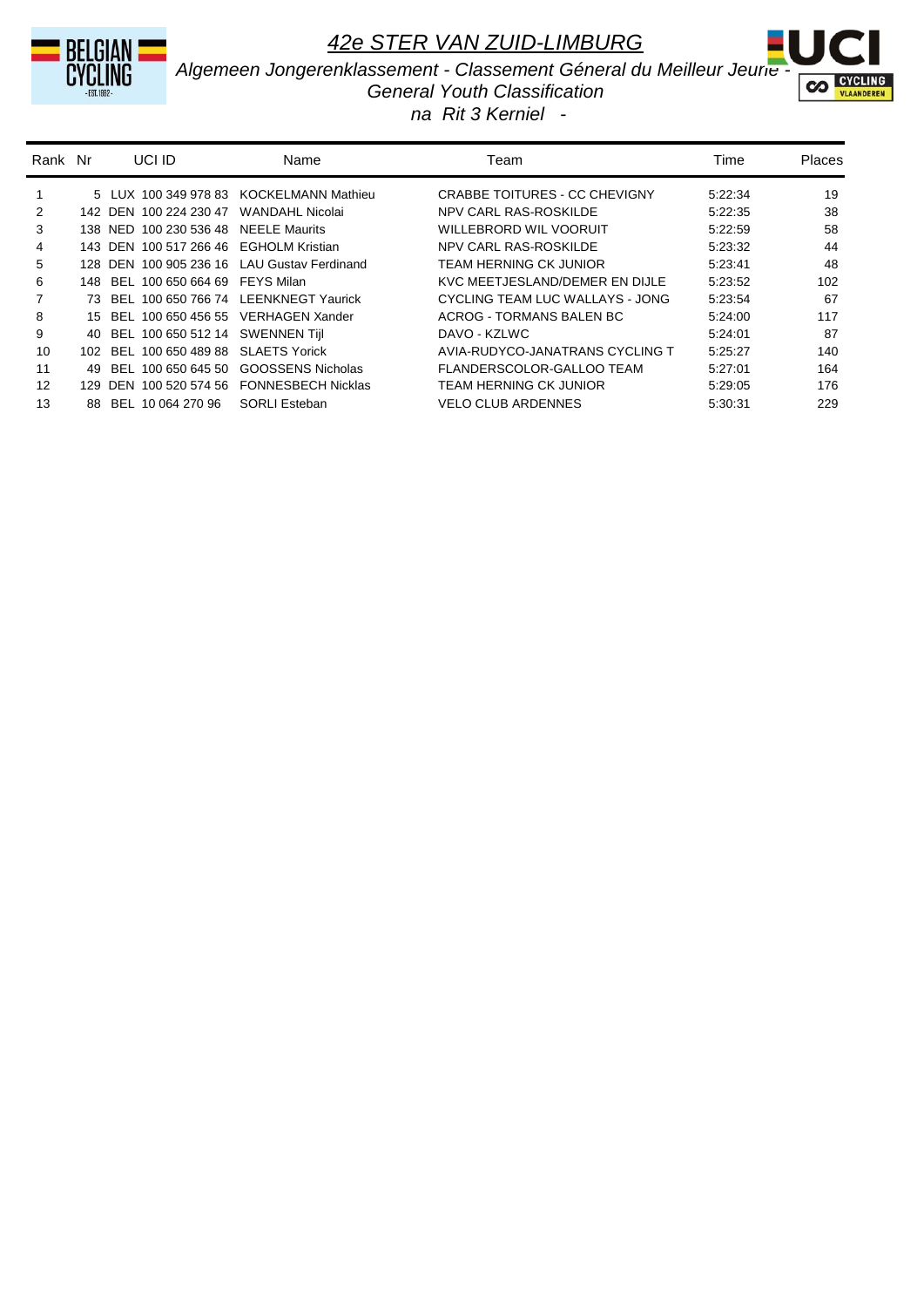

*Algemeen Jongerenklassement - Classement Géneral du Meilleur Jeune - General Youth Classification*



| Rank Nr |      | UCI ID                                  | Name                                        | Team                            | Time    | <b>Places</b> |
|---------|------|-----------------------------------------|---------------------------------------------|---------------------------------|---------|---------------|
|         |      |                                         | 5 LUX 100 349 978 83 KOCKELMANN Mathieu     | CRABBE TOITURES - CC CHEVIGNY   | 5.22.34 | 19            |
| 2       |      | 142 DEN 100 224 230 47                  | WANDAHL Nicolai                             | NPV CARL RAS-ROSKILDE           | 5:22:35 | 38            |
| 3       |      | 138 NED 100 230 536 48 NEELE Maurits    |                                             | WILLEBRORD WIL VOORUIT          | 5.22.59 | 58            |
| 4       |      | 143 DEN 100 517 266 46 EGHOLM Kristian  |                                             | NPV CARL RAS-ROSKILDE           | 5:23:32 | 44            |
| 5       |      |                                         | 128 DEN 100 905 236 16 LAU Gustav Ferdinand | TEAM HERNING CK JUNIOR          | 5.23.41 | 48            |
| 6       |      | 148 BEL 100 650 664 69 FEYS Milan       |                                             | KVC MEETJESLAND/DEMER EN DIJLE  | 5:23:52 | 102           |
|         |      | 73 BEL 100 650 766 74 LEENKNEGT Yaurick |                                             | CYCLING TEAM LUC WALLAYS - JONG | 5:23:54 | 67            |
| 8       |      | 15 BEL 100 650 456 55 VERHAGEN Xander   |                                             | ACROG - TORMANS BALEN BC        | 5.24.00 | 117           |
| 9       | 40   | BEL 100 650 512 14 SWENNEN Tijl         |                                             | DAVO - KZLWC                    | 5.24.01 | 87            |
| 10      | 102. | BEL 100 650 489 88 SLAETS Yorick        |                                             | AVIA-RUDYCO-JANATRANS CYCLING T | 5.25.27 | 140           |
| 11      | 49.  | BEL 100 650 645 50                      | GOOSSENS Nicholas                           | FLANDERSCOLOR-GALLOO TEAM       | 5:27:01 | 164           |
| 12      | 129. |                                         | DEN 100 520 574 56 FONNESBECH Nicklas       | TEAM HERNING CK JUNIOR          | 5:29:05 | 176           |
| 13      | 88.  | BEL 10 064 270 96                       | <b>SORLI Esteban</b>                        | <b>VELO CLUB ARDENNES</b>       | 5.30.31 | 229           |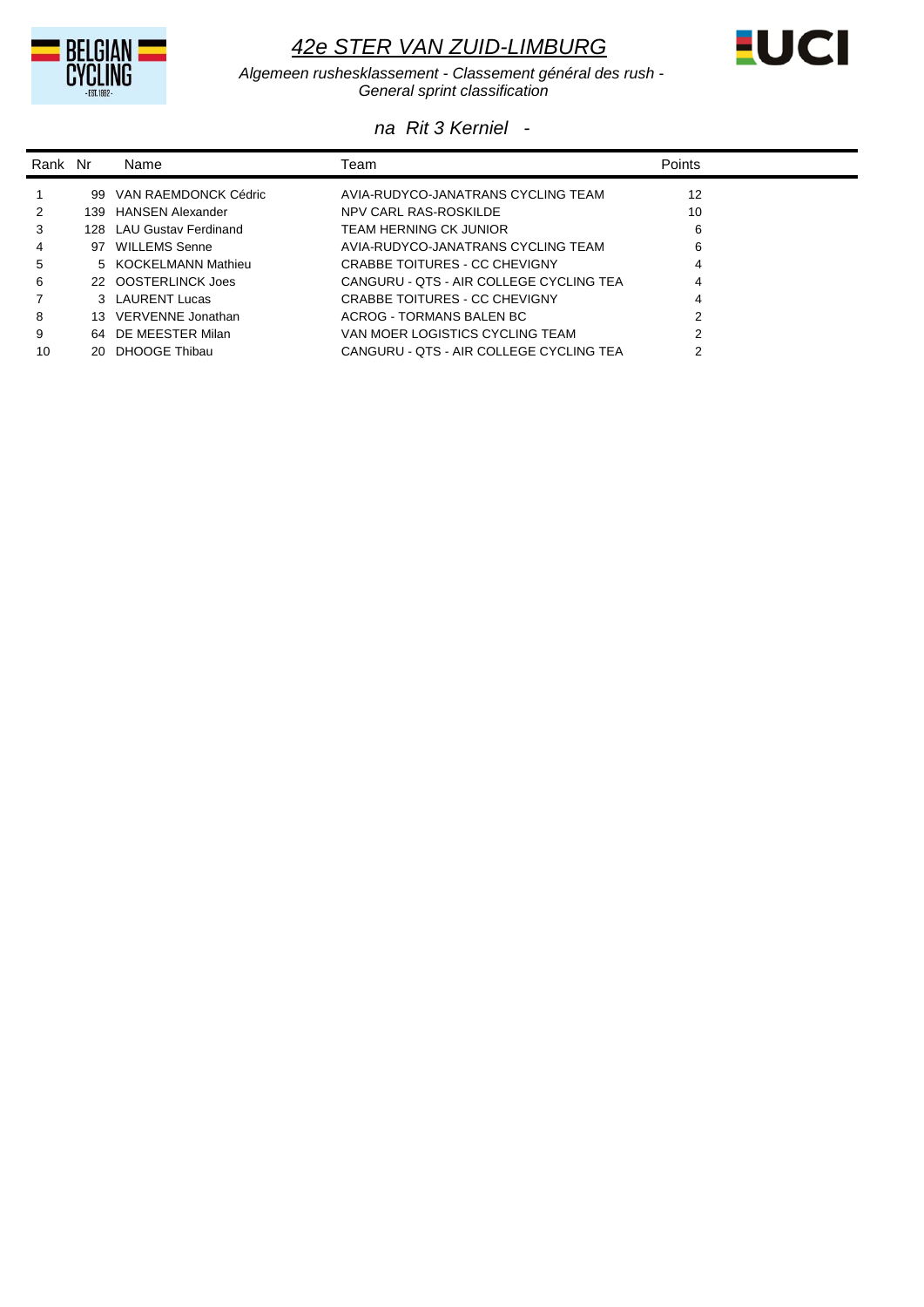



*Algemeen rushesklassement - Classement général des rush - General sprint classification*

| Rank Nr |    | Name                     | Team                                    | Points |
|---------|----|--------------------------|-----------------------------------------|--------|
|         | 99 | VAN RAEMDONCK Cédric     | AVIA-RUDYCO-JANATRANS CYCLING TEAM      | 12     |
|         |    | 139 HANSEN Alexander     | NPV CARL RAS-ROSKILDE                   | 10     |
| 3       |    | 128 LAU Gustav Ferdinand | TEAM HERNING CK JUNIOR                  | 6      |
| 4       |    | 97 WILLEMS Senne         | AVIA-RUDYCO-JANATRANS CYCLING TEAM      | 6      |
| 5       |    | 5 KOCKELMANN Mathieu     | CRABBE TOITURES - CC CHEVIGNY           | 4      |
| 6       |    | 22 OOSTERLINCK Joes      | CANGURU - QTS - AIR COLLEGE CYCLING TEA | 4      |
|         |    | 3 LAURENT Lucas          | CRABBE TOITURES - CC CHEVIGNY           | 4      |
| 8       |    | 13 VERVENNE Jonathan     | ACROG - TORMANS BALEN BC                | 2      |
| 9       |    | 64 DE MEESTER Milan      | VAN MOER LOGISTICS CYCLING TEAM         | 2      |
| 10      |    | 20 DHOOGE Thibau         | CANGURU - OTS - AIR COLLEGE CYCLING TEA |        |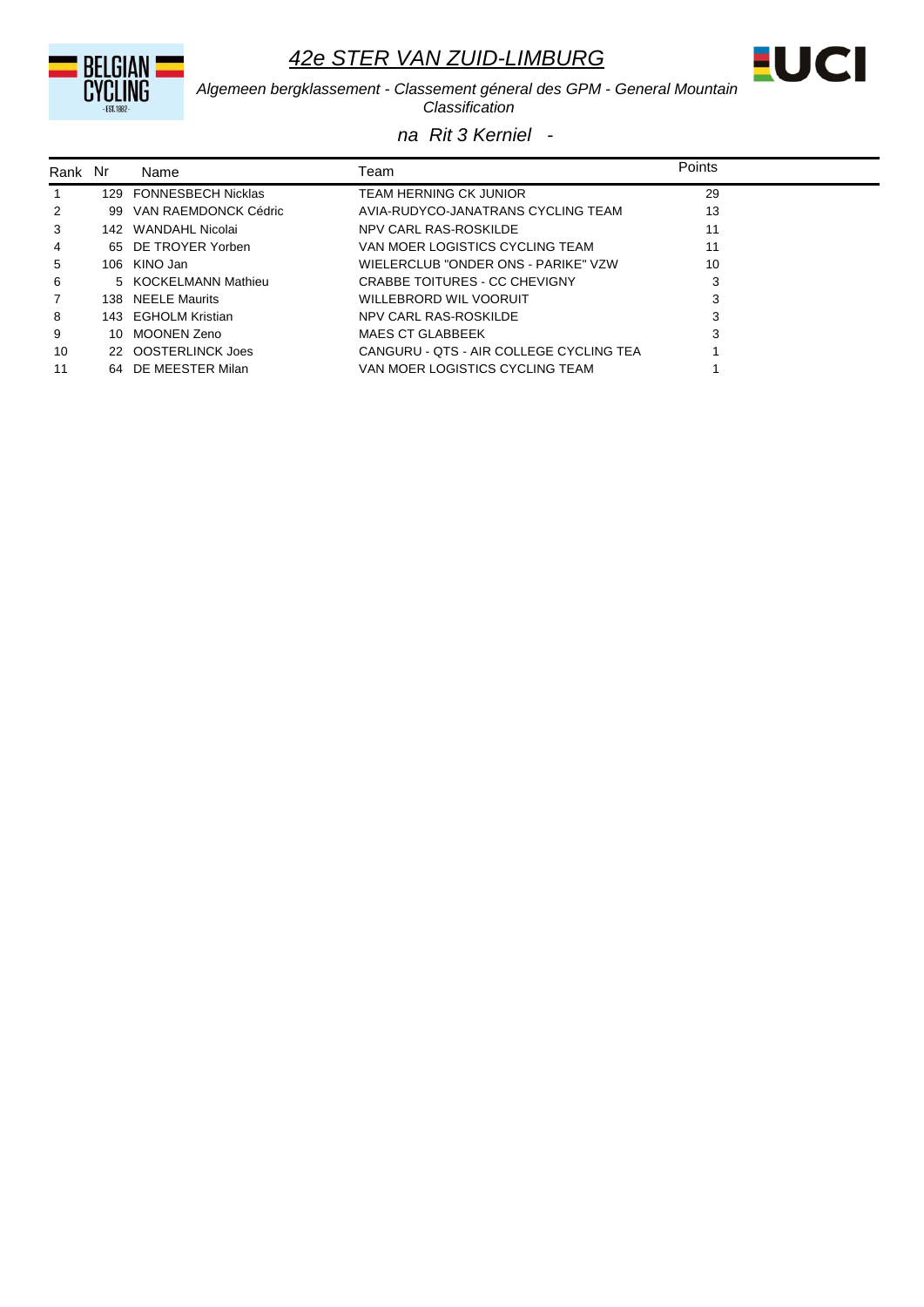



Algemeen bergklassement - Classement géneral des GPM - General Mountain<br>Classification

| Rank Nr |     | Name                    | Team                                    | Points |
|---------|-----|-------------------------|-----------------------------------------|--------|
|         |     | 129 FONNESBECH Nicklas  | TEAM HERNING CK JUNIOR                  | 29     |
| 2       |     | 99 VAN RAEMDONCK Cédric | AVIA-RUDYCO-JANATRANS CYCLING TEAM      | 13     |
| 3       |     | 142 WANDAHL Nicolai     | NPV CARL RAS-ROSKILDE                   | 11     |
| 4       |     | 65 DE TROYER Yorben     | VAN MOER LOGISTICS CYCLING TEAM         | 11     |
| 5       |     | 106 KINO Jan            | WIELERCLUB "ONDER ONS - PARIKE" VZW     | 10     |
| 6       |     | 5 KOCKELMANN Mathieu    | CRABBE TOITURES - CC CHEVIGNY           |        |
| 7       |     | 138 NEELE Maurits       | WILLEBRORD WIL VOORUIT                  |        |
| 8       |     | 143 EGHOLM Kristian     | NPV CARL RAS-ROSKILDE                   |        |
| 9       | 10. | MOONEN Zeno             | MAES CT GLABBEEK                        |        |
| 10      |     | 22 OOSTERLINCK Joes     | CANGURU - QTS - AIR COLLEGE CYCLING TEA |        |
| 11      |     | 64 DE MEESTER Milan     | VAN MOER LOGISTICS CYCLING TEAM         |        |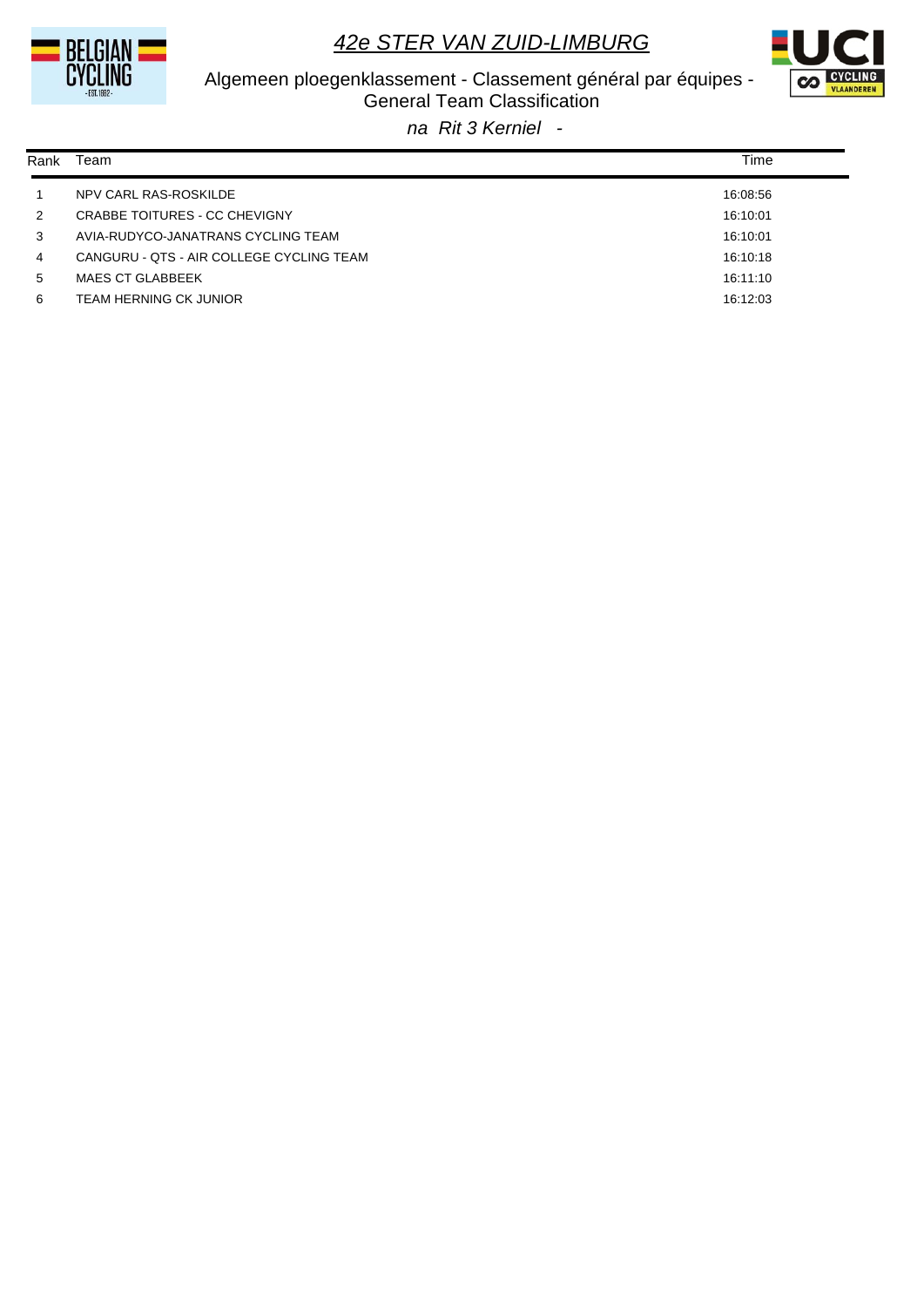



Algemeen ploegenklassement - Classement général par équipes - General Team Classification

| Rank          | Team                                     | Time     |
|---------------|------------------------------------------|----------|
|               | NPV CARL RAS-ROSKILDE                    | 16:08:56 |
| $\mathcal{P}$ | CRABBE TOITURES - CC CHEVIGNY            | 16:10:01 |
| 3             | AVIA-RUDYCO-JANATRANS CYCLING TEAM       | 16:10:01 |
| 4             | CANGURU - QTS - AIR COLLEGE CYCLING TEAM | 16:10:18 |
| 5             | MAES CT GLABBEEK                         | 16:11:10 |
| 6             | TEAM HERNING CK JUNIOR                   | 16:12:03 |
|               |                                          |          |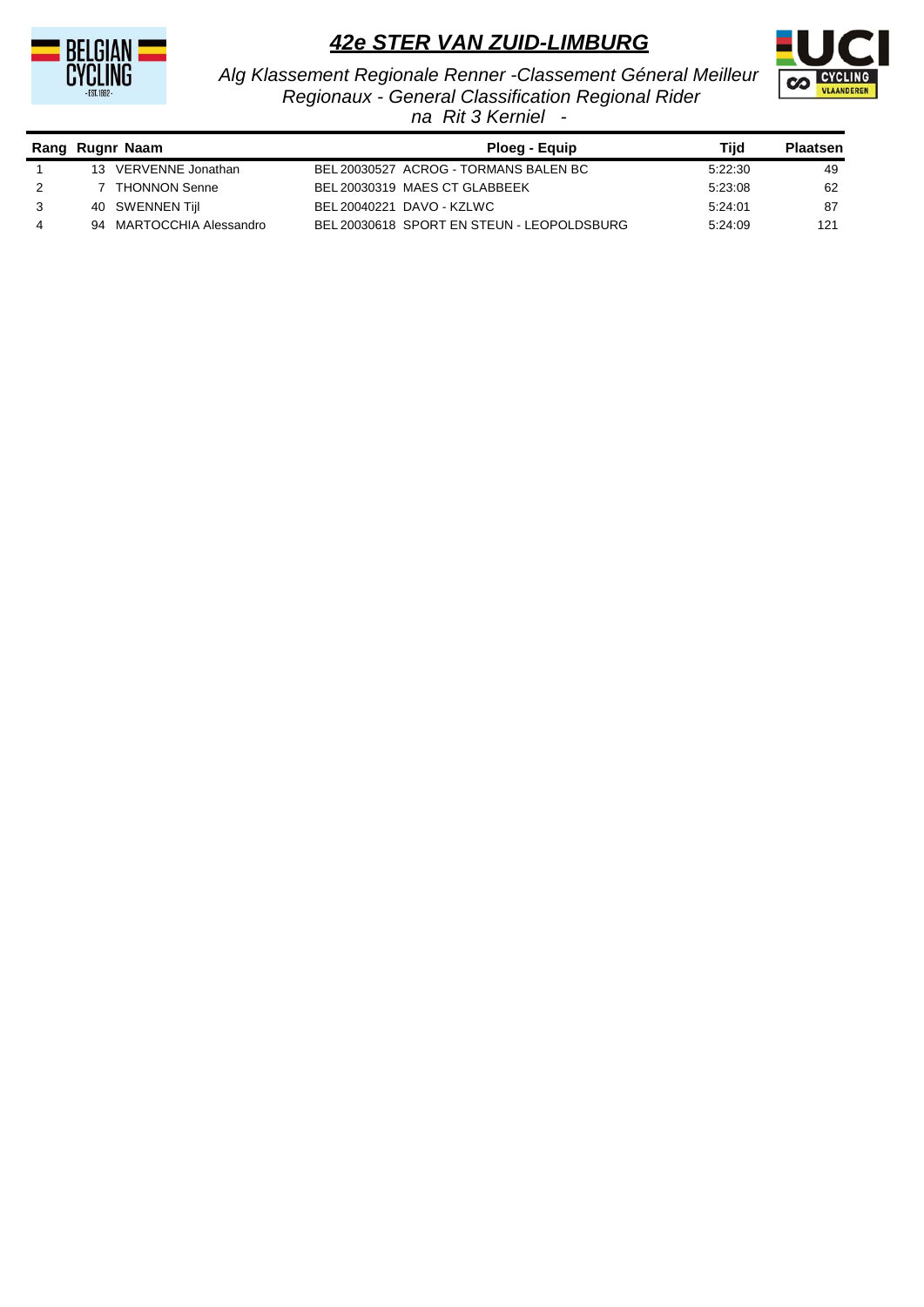



*Alg Klassement Regionale Renner -Classement Géneral Meilleur Regionaux - General Classification Regional Rider na Rit 3 Kerniel -* 

|   | Rang Rugnr Naam          | Ploeg - Equip                              | Tijd    | <b>Plaatsen</b> |
|---|--------------------------|--------------------------------------------|---------|-----------------|
|   | 13 VERVENNE Jonathan     | BEL 20030527 ACROG - TORMANS BALEN BC      | 5.22.30 | 49              |
| 2 | THONNON Senne            | BEL 20030319 MAES CT GLABBEEK              | 5.23.08 | 62              |
| 3 | 40 SWENNEN Tijl          | BEL 20040221 DAVO - KZLWC                  | 5:24:01 | 87              |
| 4 | 94 MARTOCCHIA Alessandro | BEL 20030618 SPORT EN STEUN - LEOPOLDSBURG | 5.24.09 | 121             |